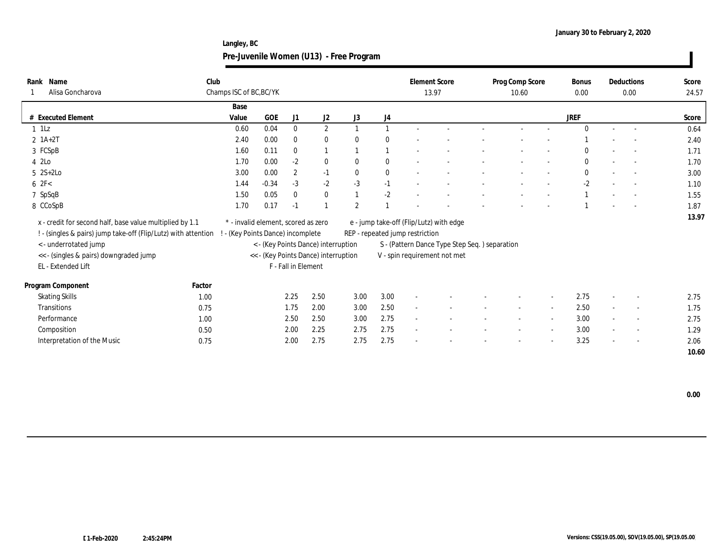**Langley, BC Pre-Juvenile Women (U13) - Free Program**

| Name<br>Rank<br>Alisa Goncharova                                                                                           | Club   | Champs ISC of BC, BC/YK                                                  |            |                     |                                      |                |          | <b>Element Score</b>            | 13.97                                         | Prog Comp Score<br>10.60 | <b>Bonus</b><br>0.00 |                | Deductions<br>0.00       | Score<br>24.57 |
|----------------------------------------------------------------------------------------------------------------------------|--------|--------------------------------------------------------------------------|------------|---------------------|--------------------------------------|----------------|----------|---------------------------------|-----------------------------------------------|--------------------------|----------------------|----------------|--------------------------|----------------|
|                                                                                                                            |        | Base                                                                     |            |                     |                                      |                |          |                                 |                                               |                          |                      |                |                          |                |
| # Executed Element                                                                                                         |        | Value                                                                    | <b>GOE</b> | J1                  | J2                                   | J3             | J4       |                                 |                                               |                          | <b>JREF</b>          |                |                          | Score          |
| $1$ 1Lz                                                                                                                    |        | 0.60                                                                     | 0.04       | $\mathbf{0}$        | $\mathbf{2}$                         |                |          |                                 |                                               |                          |                      | $\sim$         |                          | 0.64           |
| $2 \; 1A+2T$                                                                                                               |        | 2.40                                                                     | 0.00       | $\bf{0}$            | $\bf{0}$                             |                | $\theta$ |                                 |                                               |                          |                      |                |                          | 2.40           |
| 3 FCSpB                                                                                                                    |        | 1.60                                                                     | 0.11       | $\mathbf{0}$        | $\overline{1}$                       |                |          |                                 |                                               |                          |                      |                |                          | 1.71           |
| 4 2Lo                                                                                                                      |        | 1.70                                                                     | 0.00       | $-2$                | $\bf{0}$                             | $\mathbf{0}$   | $\bf{0}$ |                                 |                                               |                          | $\bf{0}$             |                |                          | 1.70           |
| $5 \text{ } 2S+2Lo$                                                                                                        |        | 3.00                                                                     | 0.00       | $\boldsymbol{2}$    | $-1$                                 | $\mathbf{0}$   | $\bf{0}$ |                                 |                                               |                          | $\bf{0}$             |                |                          | 3.00           |
| 62F<                                                                                                                       |        | 1.44                                                                     | $-0.34$    | $-3$                | $-2$                                 | $-3$           | $-1$     |                                 |                                               |                          | $-2$                 |                |                          | 1.10           |
| 7 SpSqB                                                                                                                    |        | 1.50                                                                     | 0.05       | $\theta$            | $\bf{0}$                             |                | $-2$     |                                 |                                               |                          |                      |                |                          | 1.55           |
| 8 CCoSpB                                                                                                                   |        | 1.70                                                                     | 0.17       | $-1$                | $\mathbf{1}$                         | $\overline{2}$ |          |                                 |                                               |                          |                      |                |                          | 1.87           |
| x - credit for second half, base value multiplied by 1.1<br>! - (singles & pairs) jump take-off (Flip/Lutz) with attention |        | * - invalid element, scored as zero<br>! - (Key Points Dance) incomplete |            |                     |                                      |                |          | REP - repeated jump restriction | e - jump take-off (Flip/Lutz) with edge       |                          |                      |                |                          | 13.97          |
| <- underrotated jump                                                                                                       |        |                                                                          |            |                     | < - (Key Points Dance) interruption  |                |          |                                 | S - (Pattern Dance Type Step Seq.) separation |                          |                      |                |                          |                |
| << - (singles & pairs) downgraded jump                                                                                     |        |                                                                          |            |                     | << - (Key Points Dance) interruption |                |          |                                 | V - spin requirement not met                  |                          |                      |                |                          |                |
| EL - Extended Lift                                                                                                         |        |                                                                          |            | F - Fall in Element |                                      |                |          |                                 |                                               |                          |                      |                |                          |                |
| Program Component                                                                                                          | Factor |                                                                          |            |                     |                                      |                |          |                                 |                                               |                          |                      |                |                          |                |
| <b>Skating Skills</b>                                                                                                      | 1.00   |                                                                          |            | 2.25                | 2.50                                 | 3.00           | 3.00     | $\sim$                          |                                               |                          | 2.75                 | $\sim$         |                          | 2.75           |
| Transitions                                                                                                                | 0.75   |                                                                          |            | 1.75                | 2.00                                 | 3.00           | 2.50     | $\overline{a}$                  |                                               |                          | 2.50                 | $\overline{a}$ | $\overline{\phantom{a}}$ | 1.75           |
| Performance                                                                                                                | 1.00   |                                                                          |            | 2.50                | 2.50                                 | 3.00           | 2.75     | $\sim$                          |                                               |                          | 3.00                 | $\sim$         |                          | 2.75           |
| Composition                                                                                                                | 0.50   |                                                                          |            | 2.00                | 2.25                                 | 2.75           | 2.75     | $\sim$                          |                                               |                          | 3.00                 | $\sim$         | $\overline{\phantom{a}}$ | 1.29           |
| Interpretation of the Music                                                                                                | 0.75   |                                                                          |            | 2.00                | 2.75                                 | 2.75           | 2.75     |                                 |                                               |                          | 3.25                 | $\sim$         | $\overline{\phantom{a}}$ | 2.06           |
|                                                                                                                            |        |                                                                          |            |                     |                                      |                |          |                                 |                                               |                          |                      |                |                          | 10.60          |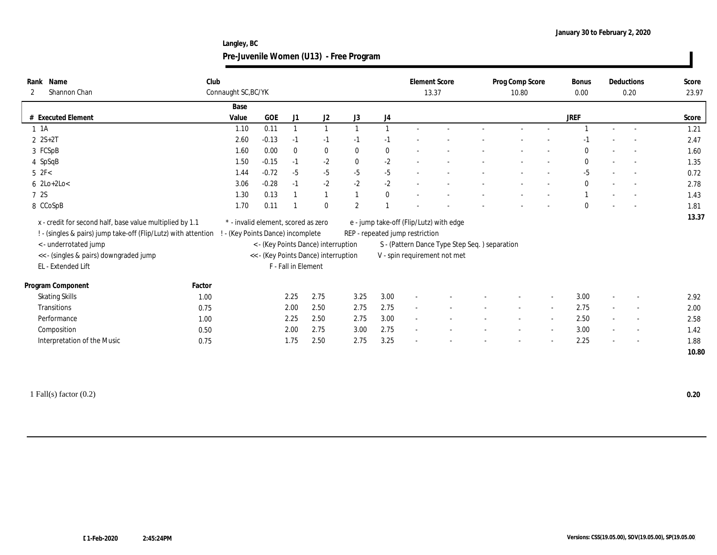**Langley, BC Pre-Juvenile Women (U13) - Free Program**

| 2 | Rank Name<br>Shannon Chan                                                                                                                                                                                           | Club   | Connaught SC, BC/YK                                                    |         |                     |                                                                             |                |                                 | <b>Element Score</b><br>13.37 |                                                                                                                          | Prog Comp Score<br>10.80 |        | Bonus<br>0.00 |                          | Deductions<br>0.20 | Score<br>23.97 |
|---|---------------------------------------------------------------------------------------------------------------------------------------------------------------------------------------------------------------------|--------|------------------------------------------------------------------------|---------|---------------------|-----------------------------------------------------------------------------|----------------|---------------------------------|-------------------------------|--------------------------------------------------------------------------------------------------------------------------|--------------------------|--------|---------------|--------------------------|--------------------|----------------|
|   |                                                                                                                                                                                                                     |        | Base                                                                   |         |                     |                                                                             |                |                                 |                               |                                                                                                                          |                          |        |               |                          |                    |                |
|   | # Executed Element                                                                                                                                                                                                  |        | Value                                                                  | GOE     | J1                  | J2                                                                          | J3             | J4                              |                               |                                                                                                                          |                          |        | <b>JREF</b>   |                          |                    | Score          |
|   | $1 \t1A$                                                                                                                                                                                                            |        | 1.10                                                                   | 0.11    |                     |                                                                             |                |                                 |                               |                                                                                                                          |                          |        |               |                          |                    | 1.21           |
|   | $2 S+2T$                                                                                                                                                                                                            |        | 2.60                                                                   | $-0.13$ | $-1$                | $-1$                                                                        | $-1$           | $-1$                            |                               |                                                                                                                          |                          |        |               |                          |                    | 2.47           |
|   | 3 FCSpB                                                                                                                                                                                                             |        | 1.60                                                                   | 0.00    | $\mathbf{0}$        | $\bf{0}$                                                                    | $\mathbf{0}$   | $\bf{0}$                        |                               |                                                                                                                          |                          |        |               |                          |                    | 1.60           |
|   | 4 SpSqB                                                                                                                                                                                                             |        | 1.50                                                                   | $-0.15$ | $-1$                | $-2$                                                                        | $\mathbf{0}$   | $-2$                            |                               |                                                                                                                          |                          |        |               |                          |                    | 1.35           |
|   | $5$ $2F<$                                                                                                                                                                                                           |        | 1.44                                                                   | $-0.72$ | $-5$                | $-5$                                                                        | $-5$           | $-5$                            |                               |                                                                                                                          |                          |        | $-5$          |                          |                    | 0.72           |
|   | $6 \text{ } 2\text{Lo}+2\text{Lo}$                                                                                                                                                                                  |        | 3.06                                                                   | $-0.28$ | $-1$                | $-2$                                                                        | $-2$           | $-2$                            |                               |                                                                                                                          |                          |        | $\mathbf{0}$  |                          | $\sim$             | 2.78           |
|   | 7 2S                                                                                                                                                                                                                |        | 1.30                                                                   | 0.13    |                     |                                                                             |                | $\bf{0}$                        |                               |                                                                                                                          |                          |        |               |                          |                    | 1.43           |
|   | 8 CCoSpB                                                                                                                                                                                                            |        | 1.70                                                                   | 0.11    |                     | $\bf{0}$                                                                    | $\overline{2}$ |                                 |                               |                                                                                                                          |                          |        |               |                          |                    | 1.81           |
|   | x - credit for second half, base value multiplied by 1.1<br>! - (singles & pairs) jump take-off (Flip/Lutz) with attention<br>< - underrotated jump<br><< - (singles & pairs) downgraded jump<br>EL - Extended Lift |        | * - invalid element, scored as zero<br>- (Key Points Dance) incomplete |         | F - Fall in Element | < - (Key Points Dance) interruption<br><< - (Key Points Dance) interruption |                | REP - repeated jump restriction |                               | e - jump take-off (Flip/Lutz) with edge<br>S - (Pattern Dance Type Step Seq.) separation<br>V - spin requirement not met |                          |        |               |                          |                    | 13.37          |
|   | Program Component                                                                                                                                                                                                   | Factor |                                                                        |         |                     |                                                                             |                |                                 |                               |                                                                                                                          |                          |        |               |                          |                    |                |
|   | <b>Skating Skills</b>                                                                                                                                                                                               | 1.00   |                                                                        |         | 2.25                | 2.75                                                                        | 3.25           | 3.00                            |                               |                                                                                                                          |                          |        | 3.00          |                          |                    | 2.92           |
|   | Transitions                                                                                                                                                                                                         | 0.75   |                                                                        |         | 2.00                | 2.50                                                                        | 2.75           | 2.75                            |                               |                                                                                                                          |                          |        | 2.75          | $\sim$                   |                    | 2.00           |
|   | Performance                                                                                                                                                                                                         | 1.00   |                                                                        |         | 2.25                | 2.50                                                                        | 2.75           | 3.00                            |                               |                                                                                                                          |                          |        | 2.50          | $\sim$                   |                    | 2.58           |
|   | Composition                                                                                                                                                                                                         | 0.50   |                                                                        |         | 2.00                | 2.75                                                                        | 3.00           | 2.75                            | $\sim$                        |                                                                                                                          |                          | $\sim$ | 3.00          | $\sim$                   |                    | 1.42           |
|   | Interpretation of the Music                                                                                                                                                                                         | 0.75   |                                                                        |         | 1.75                | 2.50                                                                        | 2.75           | 3.25                            |                               |                                                                                                                          |                          |        | 2.25          | $\overline{\phantom{a}}$ |                    | 1.88           |
|   |                                                                                                                                                                                                                     |        |                                                                        |         |                     |                                                                             |                |                                 |                               |                                                                                                                          |                          |        |               |                          |                    |                |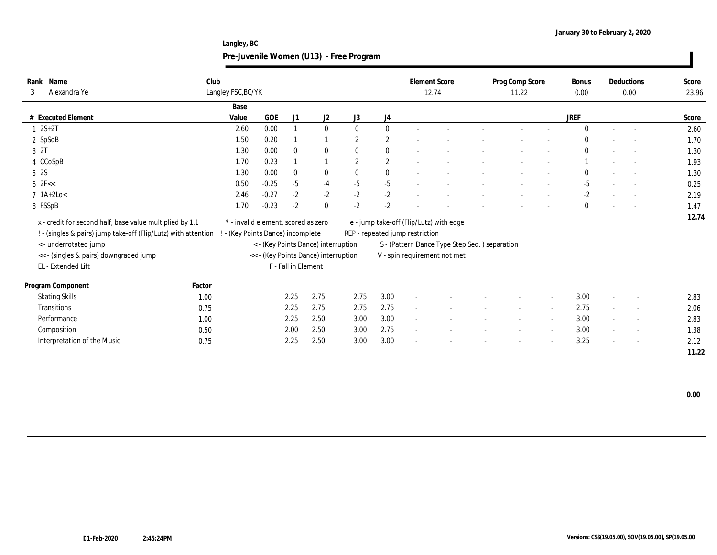**Langley, BC Pre-Juvenile Women (U13) - Free Program**

| Rank Name<br>Alexandra Ye<br>3                                                                                             | Club   | Langley FSC, BC/YK                                                     |            |                     |                                      |                |                | <b>Element Score</b>            | 12.74                                         | Prog Comp Score<br>11.22 |                          | <b>Bonus</b><br>0.00 |                          | Deductions<br>0.00       | Score<br>23.96 |
|----------------------------------------------------------------------------------------------------------------------------|--------|------------------------------------------------------------------------|------------|---------------------|--------------------------------------|----------------|----------------|---------------------------------|-----------------------------------------------|--------------------------|--------------------------|----------------------|--------------------------|--------------------------|----------------|
|                                                                                                                            |        | Base                                                                   |            |                     |                                      |                |                |                                 |                                               |                          |                          |                      |                          |                          |                |
| <b>Executed Element</b><br>#                                                                                               |        | Value                                                                  | <b>GOE</b> | J1                  | J2                                   | J3             | J4             |                                 |                                               |                          |                          | <b>JREF</b>          |                          |                          | Score          |
| $1 \ 2S + 2T$                                                                                                              |        | 2.60                                                                   | 0.00       |                     | $\bf{0}$                             | $\mathbf{0}$   | $\mathbf{0}$   |                                 |                                               |                          |                          |                      | $\sim$                   |                          | 2.60           |
| $2$ SpSqB                                                                                                                  |        | 1.50                                                                   | 0.20       |                     |                                      | $\overline{2}$ | $\overline{2}$ |                                 |                                               |                          |                          |                      |                          |                          | 1.70           |
| 3 2T                                                                                                                       |        | 1.30                                                                   | 0.00       | $\mathbf{0}$        | $\bf{0}$                             | $\mathbf{0}$   | $\mathbf{0}$   |                                 |                                               |                          |                          |                      |                          |                          | 1.30           |
| 4 CCoSpB                                                                                                                   |        | 1.70                                                                   | 0.23       |                     |                                      | $\overline{2}$ | $\mathbf{2}$   |                                 |                                               |                          |                          |                      |                          |                          | 1.93           |
| 5 2S                                                                                                                       |        | 1.30                                                                   | 0.00       | $\mathbf{0}$        | $\bf{0}$                             | $\mathbf{0}$   | $\mathbf{0}$   |                                 |                                               |                          |                          |                      |                          |                          | 1.30           |
| $6 \text{ } 2F <<$                                                                                                         |        | 0.50                                                                   | $-0.25$    | $-5$                | $-4$                                 | $-5$           | $-5$           |                                 |                                               |                          |                          | $-5$                 |                          |                          | 0.25           |
| $7$ 1A+2Lo<                                                                                                                |        | 2.46                                                                   | $-0.27$    | $-2$                | $-2$                                 | $-2$           | $-2$           |                                 |                                               |                          |                          | $-2$                 | $\overline{\phantom{a}}$ |                          | 2.19           |
| 8 FSSpB                                                                                                                    |        | 1.70                                                                   | $-0.23$    | $-2$                | $\boldsymbol{0}$                     | $-2$           | $-2$           |                                 |                                               |                          |                          | 0                    |                          |                          | 1.47           |
| x - credit for second half, base value multiplied by 1.1<br>! - (singles & pairs) jump take-off (Flip/Lutz) with attention |        | * - invalid element, scored as zero<br>- (Key Points Dance) incomplete |            |                     |                                      |                |                | REP - repeated jump restriction | e - jump take-off (Flip/Lutz) with edge       |                          |                          |                      |                          |                          | 12.74          |
| <- underrotated jump                                                                                                       |        |                                                                        |            |                     | < - (Key Points Dance) interruption  |                |                |                                 | S - (Pattern Dance Type Step Seq.) separation |                          |                          |                      |                          |                          |                |
| << - (singles & pairs) downgraded jump                                                                                     |        |                                                                        |            |                     | << - (Key Points Dance) interruption |                |                |                                 | V - spin requirement not met                  |                          |                          |                      |                          |                          |                |
| EL - Extended Lift                                                                                                         |        |                                                                        |            | F - Fall in Element |                                      |                |                |                                 |                                               |                          |                          |                      |                          |                          |                |
| Program Component                                                                                                          | Factor |                                                                        |            |                     |                                      |                |                |                                 |                                               |                          |                          |                      |                          |                          |                |
| <b>Skating Skills</b>                                                                                                      | 1.00   |                                                                        |            | 2.25                | 2.75                                 | 2.75           | 3.00           |                                 |                                               |                          |                          | 3.00                 | $\sim$                   |                          | 2.83           |
| <b>Transitions</b>                                                                                                         | 0.75   |                                                                        |            | 2.25                | 2.75                                 | 2.75           | 2.75           |                                 |                                               |                          |                          | 2.75                 | $\sim$                   | $\sim$                   | 2.06           |
| Performance                                                                                                                | 1.00   |                                                                        |            | 2.25                | 2.50                                 | 3.00           | 3.00           |                                 |                                               |                          |                          | 3.00                 | $\sim$                   |                          | 2.83           |
| Composition                                                                                                                | 0.50   |                                                                        |            | 2.00                | 2.50                                 | 3.00           | 2.75           |                                 |                                               |                          | $\overline{\phantom{a}}$ | 3.00                 | $\sim$                   | $\overline{\phantom{a}}$ | 1.38           |
| Interpretation of the Music                                                                                                | 0.75   |                                                                        |            | 2.25                | 2.50                                 | 3.00           | 3.00           |                                 |                                               |                          |                          | 3.25                 | $\sim$                   |                          | 2.12           |
|                                                                                                                            |        |                                                                        |            |                     |                                      |                |                |                                 |                                               |                          |                          |                      |                          |                          | 11.22          |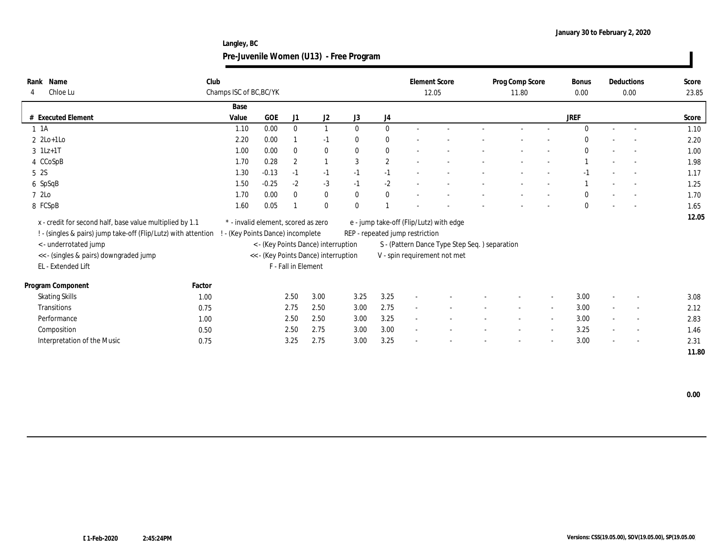**Langley, BC Pre-Juvenile Women (U13) - Free Program**

| Name<br>Rank                                                                                     | Club                                |            |                     |                                      |              |            | <b>Element Score</b>            |                                               | Prog Comp Score |                          | Bonus        |                          | Deductions               | Score |
|--------------------------------------------------------------------------------------------------|-------------------------------------|------------|---------------------|--------------------------------------|--------------|------------|---------------------------------|-----------------------------------------------|-----------------|--------------------------|--------------|--------------------------|--------------------------|-------|
| Chloe Lu<br>4                                                                                    | Champs ISC of BC, BC/YK             |            |                     |                                      |              |            | 12.05                           |                                               | 11.80           |                          | 0.00         |                          | 0.00                     | 23.85 |
|                                                                                                  | Base                                |            |                     |                                      |              |            |                                 |                                               |                 |                          |              |                          |                          |       |
| # Executed Element                                                                               | Value                               | <b>GOE</b> | J1                  | J2                                   | J3           | J4         |                                 |                                               |                 |                          | <b>JREF</b>  |                          |                          | Score |
| $1 \t1A$                                                                                         | 1.10                                | 0.00       | $\mathbf{0}$        | $\mathbf{1}$                         | $\mathbf{0}$ | $\bf{0}$   |                                 |                                               |                 |                          |              |                          |                          | 1.10  |
| $2 \text{2Lo+1Lo}$                                                                               | 2.20                                | 0.00       |                     | $-1$                                 | $\bf{0}$     | $\bf{0}$   |                                 |                                               |                 |                          |              |                          |                          | 2.20  |
| $3 \ 1Lz+1T$                                                                                     | 1.00                                | 0.00       | $\bf{0}$            | $\bf{0}$                             | $\mathbf{0}$ | $\bf{0}$   |                                 |                                               |                 |                          | $\bf{0}$     | $\overline{\phantom{a}}$ | $\sim$                   | 1.00  |
| 4 CCoSpB                                                                                         | 1.70                                | 0.28       | $\boldsymbol{2}$    | $\overline{1}$                       | 3            | $\sqrt{2}$ |                                 |                                               |                 |                          |              |                          | $\sim$                   | 1.98  |
| 5 2S                                                                                             | 1.30                                | $-0.13$    | $-1$                | $-1$                                 | $-1$         | $-1$       |                                 |                                               |                 |                          | $-1$         |                          |                          | 1.17  |
| 6 SpSqB                                                                                          | 1.50                                | $-0.25$    | $-2$                | $-3$                                 | $-1$         | $-2$       |                                 |                                               |                 |                          |              |                          |                          | 1.25  |
| 7 2Lo                                                                                            | 1.70                                | 0.00       | $\mathbf{0}$        | $\bf{0}$                             | $\mathbf{0}$ | $\bf{0}$   |                                 |                                               |                 |                          | $\mathbf{0}$ |                          |                          | 1.70  |
| 8 FCSpB                                                                                          | 1.60                                | 0.05       |                     | $\bf{0}$                             | $\theta$     |            |                                 |                                               |                 |                          | $\bf{0}$     |                          |                          | 1.65  |
| x - credit for second half, base value multiplied by 1.1                                         | * - invalid element, scored as zero |            |                     |                                      |              |            |                                 | e - jump take-off (Flip/Lutz) with edge       |                 |                          |              |                          |                          | 12.05 |
| ! - (singles & pairs) jump take-off (Flip/Lutz) with attention ! - (Key Points Dance) incomplete |                                     |            |                     |                                      |              |            | REP - repeated jump restriction |                                               |                 |                          |              |                          |                          |       |
| < - underrotated jump                                                                            |                                     |            |                     | < - (Key Points Dance) interruption  |              |            |                                 | S - (Pattern Dance Type Step Seq.) separation |                 |                          |              |                          |                          |       |
| << - (singles & pairs) downgraded jump                                                           |                                     |            |                     | << - (Key Points Dance) interruption |              |            |                                 | V - spin requirement not met                  |                 |                          |              |                          |                          |       |
| EL - Extended Lift                                                                               |                                     |            | F - Fall in Element |                                      |              |            |                                 |                                               |                 |                          |              |                          |                          |       |
| Program Component<br>Factor                                                                      |                                     |            |                     |                                      |              |            |                                 |                                               |                 |                          |              |                          |                          |       |
| <b>Skating Skills</b>                                                                            | 1.00                                |            | 2.50                | 3.00                                 | 3.25         | 3.25       | $\sim$                          |                                               |                 |                          | 3.00         | $\sim$                   |                          | 3.08  |
| Transitions                                                                                      | 0.75                                |            | 2.75                | 2.50                                 | 3.00         | 2.75       | $\sim$                          |                                               | $\sim$          | $\overline{\phantom{a}}$ | 3.00         | $\sim$                   | $\overline{\phantom{a}}$ | 2.12  |
| Performance                                                                                      | 1.00                                |            | 2.50                | 2.50                                 | 3.00         | 3.25       | $\sim$                          |                                               |                 |                          | 3.00         | $\sim$                   |                          | 2.83  |
| Composition                                                                                      | 0.50                                |            | 2.50                | 2.75                                 | 3.00         | 3.00       | $\sim$                          |                                               |                 |                          | 3.25         | $\sim$                   | $\overline{\phantom{a}}$ | 1.46  |
| Interpretation of the Music                                                                      | 0.75                                |            | 3.25                | 2.75                                 | 3.00         | 3.25       |                                 |                                               |                 |                          | 3.00         | $\sim$                   | $\overline{\phantom{a}}$ | 2.31  |
|                                                                                                  |                                     |            |                     |                                      |              |            |                                 |                                               |                 |                          |              |                          |                          | 11.80 |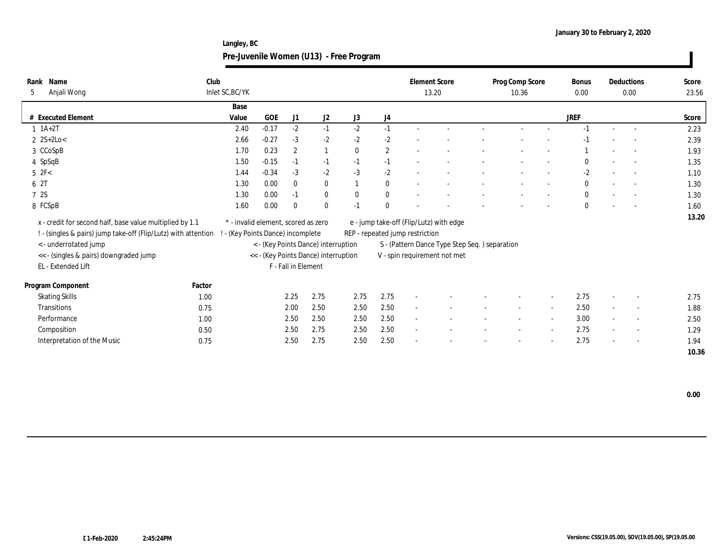**Langley, BC Pre-Juvenile Women (U13) - Free Program**

| Club<br>Name<br>Rank<br>Anjali Wong<br>5                                                                                   | Inlet SC, BC/YK                                                        |         |                     |                                      |              |              | <b>Element Score</b>            | 13.20                                         | Prog Comp Score<br>10.36 |        | <b>Bonus</b><br>0.00 |                          | Deductions<br>0.00       | Score<br>23.56 |
|----------------------------------------------------------------------------------------------------------------------------|------------------------------------------------------------------------|---------|---------------------|--------------------------------------|--------------|--------------|---------------------------------|-----------------------------------------------|--------------------------|--------|----------------------|--------------------------|--------------------------|----------------|
|                                                                                                                            | Base                                                                   |         |                     |                                      |              |              |                                 |                                               |                          |        |                      |                          |                          |                |
| # Executed Element                                                                                                         | Value                                                                  | GOE     | J1                  | J2                                   | J3           | J4           |                                 |                                               |                          |        | <b>JREF</b>          |                          |                          | Score          |
| $1 \t1A+2T$                                                                                                                | 2.40                                                                   | $-0.17$ | $-2$                | $-1$                                 | $-2$         | $-1$         |                                 |                                               |                          |        | $-1$                 |                          |                          | 2.23           |
| $2 \text{ } 2S+2Lo <$                                                                                                      | 2.66                                                                   | $-0.27$ | $-3$                | $-2$                                 | $-2$         | $-2$         |                                 |                                               |                          |        |                      |                          |                          | 2.39           |
| 3 CCoSpB                                                                                                                   | 1.70                                                                   | 0.23    | $\overline{2}$      |                                      | $\mathbf{0}$ | $\mathbf{2}$ |                                 |                                               |                          |        |                      |                          |                          | 1.93           |
| 4 SpSqB                                                                                                                    | 1.50                                                                   | $-0.15$ | $-1$                | $-1$                                 | $-1$         | $-1$         |                                 |                                               |                          |        | 0                    |                          | $\sim$                   | 1.35           |
| $5$ $2F<$                                                                                                                  | 1.44                                                                   | $-0.34$ | $-3$                | $-2$                                 | $-3$         | $-2$         |                                 |                                               |                          |        | $-2$                 |                          |                          | 1.10           |
| 6 2T                                                                                                                       | 1.30                                                                   | 0.00    | $\mathbf{0}$        | $\bf{0}$                             |              | $\bf{0}$     |                                 |                                               |                          |        | $\mathbf{0}$         |                          |                          | 1.30           |
| 7 2S                                                                                                                       | 1.30                                                                   | 0.00    | $-1$                | $\bf{0}$                             | $\bf{0}$     | $\bf{0}$     |                                 |                                               |                          |        | $\bf{0}$             | $\overline{\phantom{a}}$ |                          | 1.30           |
| 8 FCSpB                                                                                                                    | 1.60                                                                   | 0.00    | $\bf{0}$            | $\bf{0}$                             | $-1$         | $\mathbf{0}$ |                                 |                                               |                          |        | $\bf{0}$             |                          |                          | 1.60           |
| x - credit for second half, base value multiplied by 1.1<br>! - (singles & pairs) jump take-off (Flip/Lutz) with attention | * - invalid element, scored as zero<br>- (Key Points Dance) incomplete |         |                     |                                      |              |              | REP - repeated jump restriction | e - jump take-off (Flip/Lutz) with edge       |                          |        |                      |                          |                          | 13.20          |
| <- underrotated jump                                                                                                       |                                                                        |         |                     | < - (Key Points Dance) interruption  |              |              |                                 | S - (Pattern Dance Type Step Seq.) separation |                          |        |                      |                          |                          |                |
| << - (singles & pairs) downgraded jump                                                                                     |                                                                        |         |                     | << - (Key Points Dance) interruption |              |              |                                 | V - spin requirement not met                  |                          |        |                      |                          |                          |                |
| EL - Extended Lift                                                                                                         |                                                                        |         | F - Fall in Element |                                      |              |              |                                 |                                               |                          |        |                      |                          |                          |                |
| Program Component<br>Factor                                                                                                |                                                                        |         |                     |                                      |              |              |                                 |                                               |                          |        |                      |                          |                          |                |
| <b>Skating Skills</b><br>1.00                                                                                              |                                                                        |         | 2.25                | 2.75                                 | 2.75         | 2.75         | $\overline{\phantom{a}}$        |                                               |                          |        | 2.75                 | $\sim$                   |                          | 2.75           |
| <b>Transitions</b><br>0.75                                                                                                 |                                                                        |         | 2.00                | 2.50                                 | 2.50         | 2.50         | $\sim$                          |                                               | $\sim$                   | $\sim$ | 2.50                 | $\overline{\phantom{a}}$ | $\sim$                   | 1.88           |
| Performance<br>1.00                                                                                                        |                                                                        |         | 2.50                | 2.50                                 | 2.50         | 2.50         | $\sim$                          |                                               |                          |        | 3.00                 | $\sim$                   | $\overline{\phantom{a}}$ | 2.50           |
| Composition<br>0.50                                                                                                        |                                                                        |         | 2.50                | 2.75                                 | 2.50         | 2.50         | $\sim$                          |                                               |                          |        | 2.75                 | $\sim$                   | $\sim$                   | 1.29           |
| Interpretation of the Music<br>0.75                                                                                        |                                                                        |         | 2.50                | 2.75                                 | 2.50         | 2.50         |                                 |                                               |                          |        | 2.75                 | $\sim$                   | $\sim$                   | 1.94           |
|                                                                                                                            |                                                                        |         |                     |                                      |              |              |                                 |                                               |                          |        |                      |                          |                          | 10.36          |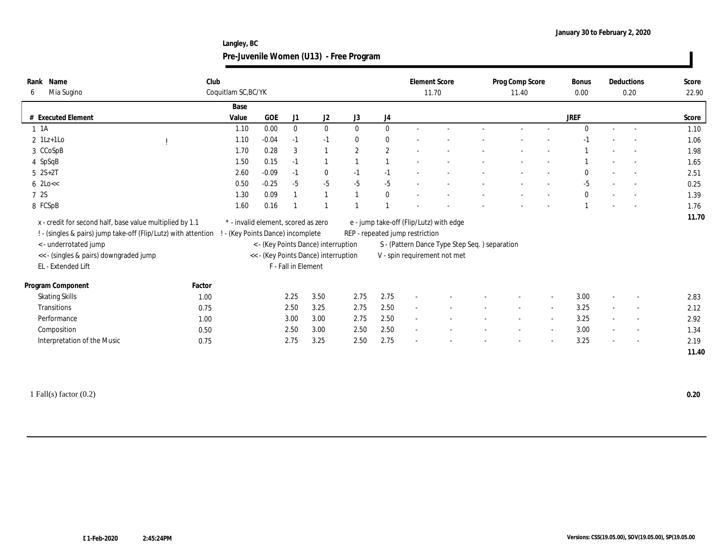**Langley, BC Pre-Juvenile Women (U13) - Free Program**

| Name<br>Rank<br>Mia Sugino<br>6                                                                                             | Club                                                           | Coquitlam SC, BC/YK                                                      |            |                     |                                                                             |              |              | <b>Element Score</b><br>11.70   |                                                                                                                          | Prog Comp Score<br>11.40 | Bonus<br>0.00 |        | Deductions<br>0.20       | Score<br>22.90 |
|-----------------------------------------------------------------------------------------------------------------------------|----------------------------------------------------------------|--------------------------------------------------------------------------|------------|---------------------|-----------------------------------------------------------------------------|--------------|--------------|---------------------------------|--------------------------------------------------------------------------------------------------------------------------|--------------------------|---------------|--------|--------------------------|----------------|
|                                                                                                                             |                                                                | Base                                                                     |            |                     |                                                                             |              |              |                                 |                                                                                                                          |                          |               |        |                          |                |
| <b>Executed Element</b><br>#                                                                                                |                                                                | Value                                                                    | <b>GOE</b> | J1                  | J2                                                                          | J3           | J4           |                                 |                                                                                                                          |                          | <b>JREF</b>   |        |                          | Score          |
| $1 \t1A$                                                                                                                    |                                                                | 1.10                                                                     | 0.00       | $\theta$            | $\mathbf{0}$                                                                | $\mathbf{0}$ | $\mathbf{0}$ |                                 |                                                                                                                          |                          | $\Omega$      | $\sim$ | $\sim$                   | 1.10           |
| $2$ 1Lz+1Lo                                                                                                                 |                                                                | 1.10                                                                     | $-0.04$    | $-1$                | $-1$                                                                        | $\mathbf{0}$ | $\bf{0}$     |                                 |                                                                                                                          |                          |               |        |                          | 1.06           |
| 3 CCoSpB                                                                                                                    |                                                                | 1.70                                                                     | 0.28       | 3                   | $\mathbf{1}$                                                                | $\mathbf{2}$ | $\mathbf{2}$ |                                 |                                                                                                                          |                          |               |        |                          | 1.98           |
| 4 SpSqB                                                                                                                     |                                                                | 1.50                                                                     | 0.15       | $-1$                | $\mathbf{1}$                                                                |              |              |                                 |                                                                                                                          |                          |               |        |                          | 1.65           |
| $5 \t 2S+2T$                                                                                                                |                                                                | 2.60                                                                     | $-0.09$    | $-1$                | $\bf{0}$                                                                    | $-1$         | $-1$         |                                 |                                                                                                                          |                          |               |        |                          | 2.51           |
| $6$ 2Lo $<<$                                                                                                                |                                                                | 0.50                                                                     | $-0.25$    | $-5$                | $-5$                                                                        | $-5$         | $-5$         |                                 |                                                                                                                          |                          | $-5$          |        |                          | 0.25           |
| 7 2S                                                                                                                        |                                                                | 1.30                                                                     | 0.09       |                     |                                                                             |              | $\bf{0}$     |                                 |                                                                                                                          |                          | $\bf{0}$      |        |                          | 1.39           |
| 8 FCSpB                                                                                                                     |                                                                | 1.60                                                                     | 0.16       |                     |                                                                             |              |              |                                 |                                                                                                                          |                          |               |        |                          | 1.76           |
| x - credit for second half, base value multiplied by 1.1<br>< - underrotated jump<br><< - (singles & pairs) downgraded jump | ! - (singles & pairs) jump take-off (Flip/Lutz) with attention | * - invalid element, scored as zero<br>! - (Key Points Dance) incomplete |            |                     | < - (Key Points Dance) interruption<br><< - (Key Points Dance) interruption |              |              | REP - repeated jump restriction | e - jump take-off (Flip/Lutz) with edge<br>S - (Pattern Dance Type Step Seq.) separation<br>V - spin requirement not met |                          |               |        |                          | 11.70          |
| EL - Extended Lift                                                                                                          |                                                                |                                                                          |            | F - Fall in Element |                                                                             |              |              |                                 |                                                                                                                          |                          |               |        |                          |                |
| Program Component                                                                                                           | Factor                                                         |                                                                          |            |                     |                                                                             |              |              |                                 |                                                                                                                          |                          |               |        |                          |                |
| <b>Skating Skills</b>                                                                                                       | 1.00                                                           |                                                                          |            | 2.25                | 3.50                                                                        | 2.75         | 2.75         |                                 |                                                                                                                          |                          | 3.00          |        |                          | 2.83           |
| Transitions                                                                                                                 | 0.75                                                           |                                                                          |            | 2.50                | 3.25                                                                        | 2.75         | 2.50         | $\sim$                          |                                                                                                                          |                          | 3.25          | $\sim$ |                          | 2.12           |
| Performance                                                                                                                 | 1.00                                                           |                                                                          |            | 3.00                | 3.00                                                                        | 2.75         | 2.50         | $\sim$                          |                                                                                                                          |                          | 3.25          |        | $\sim$                   | 2.92           |
| Composition                                                                                                                 | 0.50                                                           |                                                                          |            | 2.50                | 3.00                                                                        | 2.50         | 2.50         | $\sim$                          |                                                                                                                          |                          | 3.00          |        | $\overline{\phantom{a}}$ | 1.34           |
| Interpretation of the Music                                                                                                 | 0.75                                                           |                                                                          |            | 2.75                | 3.25                                                                        | 2.50         | 2.75         |                                 |                                                                                                                          |                          | 3.25          |        |                          | 2.19           |
|                                                                                                                             |                                                                |                                                                          |            |                     |                                                                             |              |              |                                 |                                                                                                                          |                          |               |        |                          | 11.40          |
|                                                                                                                             |                                                                |                                                                          |            |                     |                                                                             |              |              |                                 |                                                                                                                          |                          |               |        |                          |                |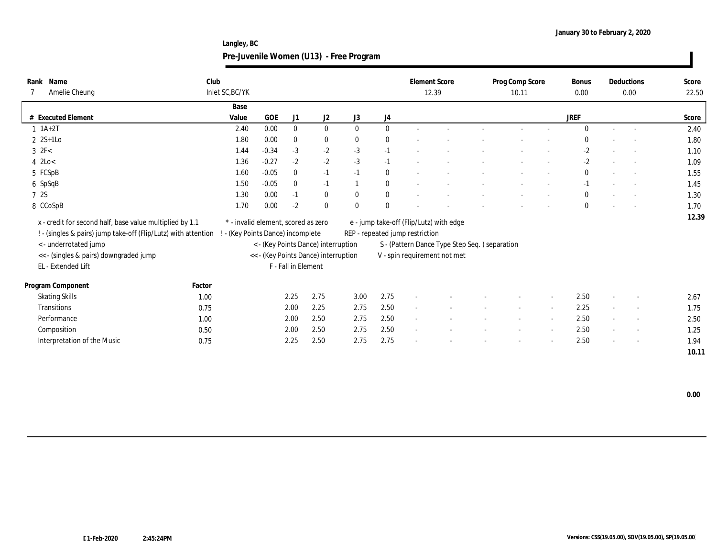**Langley, BC Pre-Juvenile Women (U13) - Free Program**

| Rank Name<br>Amelie Cheung                                                                                                 | Club   | Inlet SC, BC/YK                                                        |         |                     |                                      |              |              |                                 | <b>Element Score</b><br>12.39                 | Prog Comp Score<br>10.11 |        | <b>Bonus</b><br>0.00 |                          | Deductions<br>0.00       | Score<br>22.50 |
|----------------------------------------------------------------------------------------------------------------------------|--------|------------------------------------------------------------------------|---------|---------------------|--------------------------------------|--------------|--------------|---------------------------------|-----------------------------------------------|--------------------------|--------|----------------------|--------------------------|--------------------------|----------------|
|                                                                                                                            |        | Base                                                                   |         |                     |                                      |              |              |                                 |                                               |                          |        |                      |                          |                          |                |
| # Executed Element                                                                                                         |        | Value                                                                  | GOE     | J1                  | J2                                   | J3           | J4           |                                 |                                               |                          |        | <b>JREF</b>          |                          |                          | Score          |
| $1 \t1A+2T$                                                                                                                |        | 2.40                                                                   | 0.00    | $\mathbf{0}$        | $\bf{0}$                             | $\mathbf{0}$ | $\bf{0}$     |                                 |                                               |                          |        | $\Omega$             | $\sim$                   |                          | 2.40           |
| $2 \text{ } 2S+1LO$                                                                                                        |        | 1.80                                                                   | 0.00    | $\bf{0}$            | $\bf{0}$                             | $\bf{0}$     | $\bf{0}$     |                                 |                                               |                          |        | $\mathbf{0}$         | $\sim$                   |                          | 1.80           |
| $3 \text{ } 2F<$                                                                                                           |        | 1.44                                                                   | $-0.34$ | $-3$                | $-2$                                 | $-3$         | $-1$         |                                 |                                               |                          |        | $-2$                 |                          | $\sim$                   | 1.10           |
| $4$ 2Lo $<$                                                                                                                |        | 1.36                                                                   | $-0.27$ | $-2$                | $-2$                                 | $-3$         | $-1$         |                                 |                                               |                          |        | $-2$                 |                          | $\overline{\phantom{a}}$ | 1.09           |
| 5 FCSpB                                                                                                                    |        | 1.60                                                                   | $-0.05$ | $\mathbf{0}$        | $-1$                                 | $-1$         | $\bf{0}$     |                                 |                                               |                          |        | $\bf{0}$             |                          |                          | 1.55           |
| 6 SpSqB                                                                                                                    |        | 1.50                                                                   | $-0.05$ | $\mathbf{0}$        | $-1$                                 |              | $\bf{0}$     |                                 |                                               |                          |        | $-1$                 |                          |                          | 1.45           |
| 7 2S                                                                                                                       |        | 1.30                                                                   | 0.00    | $-1$                | $\bf{0}$                             | $\bf{0}$     | $\bf{0}$     |                                 |                                               |                          |        | $\bf{0}$             | $\overline{\phantom{a}}$ |                          | 1.30           |
| 8 CCoSpB                                                                                                                   |        | 1.70                                                                   | 0.00    | $-2$                | $\bf{0}$                             | $\bf{0}$     | $\mathbf{0}$ |                                 |                                               |                          |        | $\bf{0}$             |                          |                          | 1.70           |
| x - credit for second half, base value multiplied by 1.1<br>! - (singles & pairs) jump take-off (Flip/Lutz) with attention |        | * - invalid element, scored as zero<br>- (Key Points Dance) incomplete |         |                     |                                      |              |              | REP - repeated jump restriction | e - jump take-off (Flip/Lutz) with edge       |                          |        |                      |                          |                          | 12.39          |
| <- underrotated jump                                                                                                       |        |                                                                        |         |                     | < - (Key Points Dance) interruption  |              |              |                                 | S - (Pattern Dance Type Step Seq.) separation |                          |        |                      |                          |                          |                |
| << - (singles & pairs) downgraded jump                                                                                     |        |                                                                        |         |                     | << - (Key Points Dance) interruption |              |              |                                 | V - spin requirement not met                  |                          |        |                      |                          |                          |                |
| EL - Extended Lift                                                                                                         |        |                                                                        |         | F - Fall in Element |                                      |              |              |                                 |                                               |                          |        |                      |                          |                          |                |
| Program Component                                                                                                          | Factor |                                                                        |         |                     |                                      |              |              |                                 |                                               |                          |        |                      |                          |                          |                |
| <b>Skating Skills</b>                                                                                                      | 1.00   |                                                                        |         | 2.25                | 2.75                                 | 3.00         | 2.75         | $\overline{\phantom{a}}$        |                                               |                          |        | 2.50                 | $\sim$                   |                          | 2.67           |
| <b>Transitions</b>                                                                                                         | 0.75   |                                                                        |         | 2.00                | 2.25                                 | 2.75         | 2.50         | $\sim$                          |                                               | $\sim$                   | $\sim$ | 2.25                 | $\sim$                   | $\sim$                   | 1.75           |
| Performance                                                                                                                | 1.00   |                                                                        |         | 2.00                | 2.50                                 | 2.75         | 2.50         | $\sim$                          |                                               |                          |        | 2.50                 | $\sim$                   | $\overline{\phantom{a}}$ | 2.50           |
| Composition                                                                                                                | 0.50   |                                                                        |         | 2.00                | 2.50                                 | 2.75         | 2.50         | $\sim$                          |                                               |                          |        | 2.50                 | $\sim$                   | $\sim$                   | 1.25           |
| Interpretation of the Music                                                                                                | 0.75   |                                                                        |         | 2.25                | 2.50                                 | 2.75         | 2.75         |                                 |                                               |                          |        | 2.50                 | $\sim$                   | $\sim$                   | 1.94           |
|                                                                                                                            |        |                                                                        |         |                     |                                      |              |              |                                 |                                               |                          |        |                      |                          |                          | 10.11          |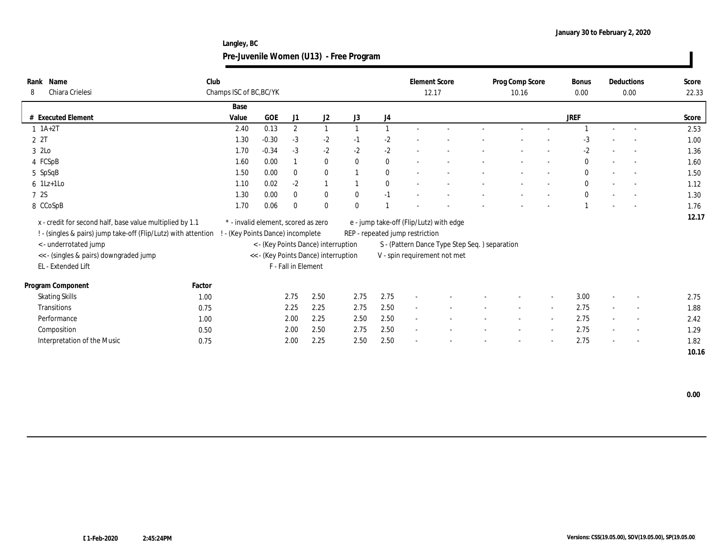**Langley, BC Pre-Juvenile Women (U13) - Free Program**

| Name<br>Rank<br>Chiara Crielesi<br>8                                                                                       | Club   | Champs ISC of BC, BC/YK                                                |         |                     |                                      |              |                | <b>Element Score</b>            | 12.17                                         | Prog Comp Score<br>10.16 |        | <b>Bonus</b><br>0.00 |                          | Deductions<br>0.00       | Score<br>22.33 |
|----------------------------------------------------------------------------------------------------------------------------|--------|------------------------------------------------------------------------|---------|---------------------|--------------------------------------|--------------|----------------|---------------------------------|-----------------------------------------------|--------------------------|--------|----------------------|--------------------------|--------------------------|----------------|
|                                                                                                                            |        | Base                                                                   |         |                     |                                      |              |                |                                 |                                               |                          |        |                      |                          |                          |                |
| # Executed Element                                                                                                         |        | Value                                                                  | GOE     | J1                  | J <sub>2</sub>                       | J3           | J4             |                                 |                                               |                          |        | <b>JREF</b>          |                          |                          | Score          |
| $1 \t1A+2T$                                                                                                                |        | 2.40                                                                   | 0.13    | $\mathbf{2}$        | $\mathbf{1}$                         |              | $\overline{1}$ |                                 |                                               |                          |        |                      |                          |                          | 2.53           |
| 2 2T                                                                                                                       |        | 1.30                                                                   | $-0.30$ | $-3$                | $-2$                                 | $-1$         | $-2$           |                                 |                                               |                          |        | -3                   |                          |                          | 1.00           |
| 3 2Lo                                                                                                                      |        | 1.70                                                                   | $-0.34$ | $-3$                | $-2$                                 | $-2$         | $-2$           |                                 |                                               |                          |        | $-2$                 |                          |                          | 1.36           |
| 4 FCSpB                                                                                                                    |        | 1.60                                                                   | 0.00    |                     | $\bf{0}$                             | $\mathbf{0}$ | $\bf{0}$       |                                 |                                               |                          |        | $\bf{0}$             |                          | $\overline{\phantom{a}}$ | 1.60           |
| 5 SpSqB                                                                                                                    |        | 1.50                                                                   | 0.00    | $\mathbf{0}$        | $\bf{0}$                             |              | $\bf{0}$       |                                 |                                               |                          |        | $\bf{0}$             |                          |                          | 1.50           |
| $6$ 1Lz+1Lo                                                                                                                |        | 1.10                                                                   | 0.02    | $-2$                | $\mathbf{1}$                         |              | $\bf{0}$       |                                 |                                               |                          |        | $\mathbf{0}$         |                          |                          | 1.12           |
| 7 2S                                                                                                                       |        | 1.30                                                                   | 0.00    | $\bf{0}$            | $\bf{0}$                             | $\bf{0}$     | $-1$           |                                 |                                               |                          |        | $\bf{0}$             | $\overline{\phantom{a}}$ |                          | 1.30           |
| 8 CCoSpB                                                                                                                   |        | 1.70                                                                   | 0.06    | $\bf{0}$            | $\bf{0}$                             | $\mathbf{0}$ |                |                                 |                                               |                          |        |                      |                          |                          | 1.76           |
| x - credit for second half, base value multiplied by 1.1<br>! - (singles & pairs) jump take-off (Flip/Lutz) with attention |        | * - invalid element, scored as zero<br>- (Key Points Dance) incomplete |         |                     |                                      |              |                | REP - repeated jump restriction | e - jump take-off (Flip/Lutz) with edge       |                          |        |                      |                          |                          | 12.17          |
| <- underrotated jump                                                                                                       |        |                                                                        |         |                     | < - (Key Points Dance) interruption  |              |                |                                 | S - (Pattern Dance Type Step Seq.) separation |                          |        |                      |                          |                          |                |
| << - (singles & pairs) downgraded jump                                                                                     |        |                                                                        |         |                     | << - (Key Points Dance) interruption |              |                |                                 | V - spin requirement not met                  |                          |        |                      |                          |                          |                |
| EL - Extended Lift                                                                                                         |        |                                                                        |         | F - Fall in Element |                                      |              |                |                                 |                                               |                          |        |                      |                          |                          |                |
| Program Component                                                                                                          | Factor |                                                                        |         |                     |                                      |              |                |                                 |                                               |                          |        |                      |                          |                          |                |
| <b>Skating Skills</b>                                                                                                      | 1.00   |                                                                        |         | 2.75                | 2.50                                 | 2.75         | 2.75           | $\overline{\phantom{a}}$        |                                               |                          |        | 3.00                 | $\sim$                   |                          | 2.75           |
| <b>Transitions</b>                                                                                                         | 0.75   |                                                                        |         | 2.25                | 2.25                                 | 2.75         | 2.50           | $\sim$                          |                                               | $\sim$                   | $\sim$ | 2.75                 | $\overline{\phantom{a}}$ | $\sim$                   | 1.88           |
| Performance                                                                                                                | 1.00   |                                                                        |         | 2.00                | 2.25                                 | 2.50         | 2.50           | $\sim$                          |                                               |                          |        | 2.75                 | $\sim$                   | $\overline{\phantom{a}}$ | 2.42           |
| Composition                                                                                                                | 0.50   |                                                                        |         | 2.00                | 2.50                                 | 2.75         | 2.50           | $\sim$                          |                                               |                          |        | 2.75                 | $\sim$                   | $\sim$                   | 1.29           |
| Interpretation of the Music                                                                                                | 0.75   |                                                                        |         | 2.00                | 2.25                                 | 2.50         | 2.50           |                                 |                                               |                          |        | 2.75                 | $\sim$                   | $\overline{\phantom{a}}$ | 1.82           |
|                                                                                                                            |        |                                                                        |         |                     |                                      |              |                |                                 |                                               |                          |        |                      |                          |                          | 10.16          |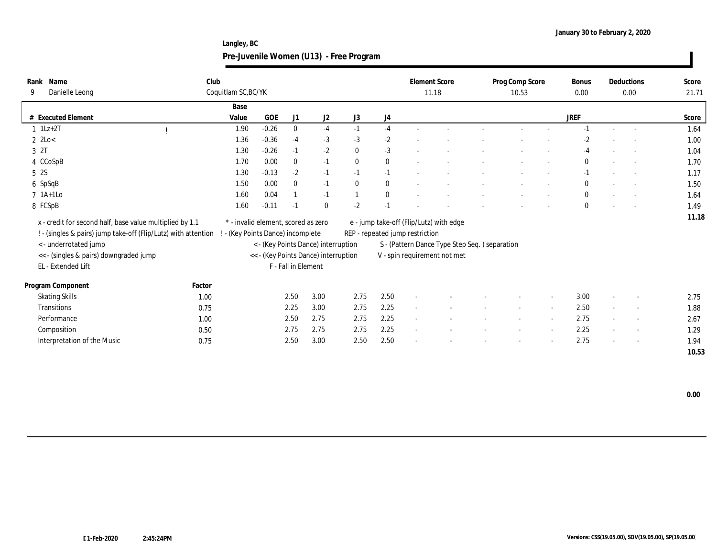**Langley, BC Pre-Juvenile Women (U13) - Free Program**

| Rank Name<br>Danielle Leong<br>-9                        | Club                                                           | Coquitlam SC, BC/YK               |                                     |                     |                                      |                |              |                                 | <b>Element Score</b><br>11.18                  | Prog Comp Score<br>10.53 |                          | Bonus<br>0.00 |                          | Deductions<br>0.00       | Score<br>21.71 |
|----------------------------------------------------------|----------------------------------------------------------------|-----------------------------------|-------------------------------------|---------------------|--------------------------------------|----------------|--------------|---------------------------------|------------------------------------------------|--------------------------|--------------------------|---------------|--------------------------|--------------------------|----------------|
|                                                          |                                                                | Base                              |                                     |                     |                                      |                |              |                                 |                                                |                          |                          |               |                          |                          |                |
| # Executed Element                                       |                                                                | Value                             | <b>GOE</b>                          | J1                  | J2                                   | J <sub>3</sub> | J4           |                                 |                                                |                          |                          | JREF          |                          |                          | Score          |
| $1$ 1Lz+2T                                               |                                                                | 1.90                              | $-0.26$                             | $\bf{0}$            | $-4$                                 | $-1$           | $-4$         |                                 |                                                |                          |                          | $-1$          |                          |                          | 1.64           |
| $2$ 2Lo<br>$\,<$                                         |                                                                | 1.36                              | $-0.36$                             | $-4$                | $-3$                                 | $-3$           | $-2$         |                                 |                                                |                          |                          | $-2$          |                          |                          | 1.00           |
| 3 2T                                                     |                                                                | 1.30                              | $-0.26$                             | $-1$                | $-2$                                 | $\mathbf{0}$   | $-3$         |                                 |                                                |                          |                          | -4            |                          | $\sim$                   | 1.04           |
| 4 CCoSpB                                                 |                                                                | 1.70                              | 0.00                                | $\bf{0}$            | $-1$                                 | $\theta$       | $\bf{0}$     |                                 |                                                |                          |                          | $\mathbf{0}$  |                          | $\sim$                   | 1.70           |
| 5 2S                                                     |                                                                | 1.30                              | $-0.13$                             | $-2$                | $-1$                                 | $-1$           | $-1$         |                                 |                                                |                          |                          | $-1$          |                          |                          | 1.17           |
| 6 SpSqB                                                  |                                                                | 1.50                              | 0.00                                | $\mathbf{0}$        | $-1$                                 | $\mathbf{0}$   | $\mathbf{0}$ |                                 |                                                |                          |                          | $\mathbf{0}$  |                          |                          | 1.50           |
| $7$ 1A+1Lo                                               |                                                                | 1.60                              | 0.04                                |                     | $-1$                                 | $\overline{1}$ | $\mathbf{0}$ |                                 |                                                |                          |                          | $\mathbf{0}$  | $\overline{\phantom{a}}$ |                          | 1.64           |
| 8 FCSpB                                                  |                                                                | 1.60                              | $-0.11$                             | $-1$                | $\bf{0}$                             | $-2$           | $-1$         |                                 |                                                |                          |                          | $\bf{0}$      |                          |                          | 1.49           |
| x - credit for second half, base value multiplied by 1.1 | ! - (singles & pairs) jump take-off (Flip/Lutz) with attention | ! - (Key Points Dance) incomplete | * - invalid element, scored as zero |                     |                                      |                |              | REP - repeated jump restriction | e - jump take-off (Flip/Lutz) with edge        |                          |                          |               |                          |                          | 11.18          |
| <- underrotated jump                                     |                                                                |                                   |                                     |                     | < - (Key Points Dance) interruption  |                |              |                                 | S - (Pattern Dance Type Step Seq. ) separation |                          |                          |               |                          |                          |                |
| << - (singles & pairs) downgraded jump                   |                                                                |                                   |                                     |                     | << - (Key Points Dance) interruption |                |              |                                 | V - spin requirement not met                   |                          |                          |               |                          |                          |                |
| EL - Extended Lift                                       |                                                                |                                   |                                     | F - Fall in Element |                                      |                |              |                                 |                                                |                          |                          |               |                          |                          |                |
| Program Component                                        | Factor                                                         |                                   |                                     |                     |                                      |                |              |                                 |                                                |                          |                          |               |                          |                          |                |
| <b>Skating Skills</b>                                    | 1.00                                                           |                                   |                                     | 2.50                | 3.00                                 | 2.75           | 2.50         | $\sim$                          |                                                |                          | $\overline{\phantom{a}}$ | 3.00          | $\overline{\phantom{a}}$ | $\overline{\phantom{a}}$ | 2.75           |
| <b>Transitions</b>                                       | 0.75                                                           |                                   |                                     | 2.25                | 3.00                                 | 2.75           | 2.25         | $\sim$                          |                                                | $\sim$                   | $\overline{\phantom{a}}$ | 2.50          | $\sim$                   | $\sim$                   | 1.88           |
| Performance                                              | 1.00                                                           |                                   |                                     | 2.50                | 2.75                                 | 2.75           | 2.25         | $\sim$                          |                                                |                          | $\overline{a}$           | 2.75          |                          | $\overline{\phantom{a}}$ | 2.67           |
| Composition                                              | 0.50                                                           |                                   |                                     | 2.75                | 2.75                                 | 2.75           | 2.25         | $\sim$                          |                                                |                          | $\overline{a}$           | 2.25          | $\sim$                   | $\overline{\phantom{a}}$ | 1.29           |
| Interpretation of the Music                              | 0.75                                                           |                                   |                                     | 2.50                | 3.00                                 | 2.50           | 2.50         |                                 |                                                |                          |                          | 2.75          |                          | $\sim$                   | 1.94           |
|                                                          |                                                                |                                   |                                     |                     |                                      |                |              |                                 |                                                |                          |                          |               |                          |                          | 10.53          |

 **0.00**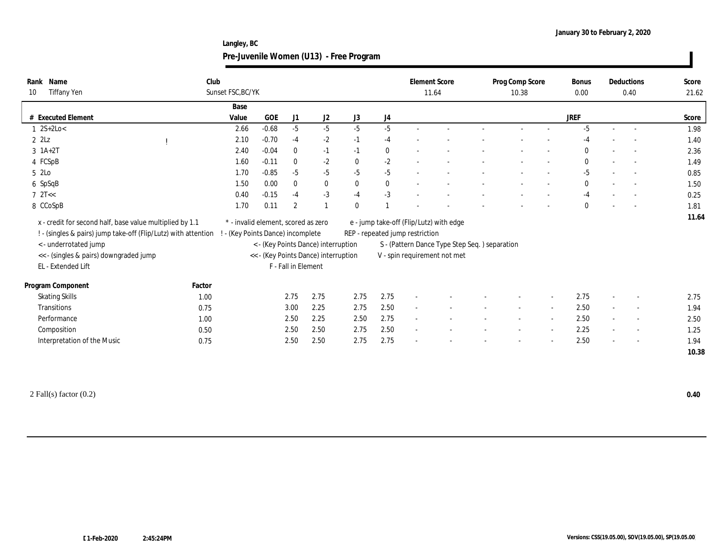**Langley, BC Pre-Juvenile Women (U13) - Free Program**

| Name<br>Rank<br>Tiffany Yen<br>10                                                                                                                                                                                   | Club<br>Sunset FSC, BC/YK         |                                                                                                                    |                     |              |              |          | <b>Element Score</b><br>11.64   |                                                                                                                          | Prog Comp Score<br>10.38 |                          | <b>Bonus</b><br>0.00 |                          | Deductions<br>0.40       | Score<br>21.62 |
|---------------------------------------------------------------------------------------------------------------------------------------------------------------------------------------------------------------------|-----------------------------------|--------------------------------------------------------------------------------------------------------------------|---------------------|--------------|--------------|----------|---------------------------------|--------------------------------------------------------------------------------------------------------------------------|--------------------------|--------------------------|----------------------|--------------------------|--------------------------|----------------|
|                                                                                                                                                                                                                     | Base                              |                                                                                                                    |                     |              |              |          |                                 |                                                                                                                          |                          |                          |                      |                          |                          |                |
| # Executed Element                                                                                                                                                                                                  | Value                             | GOE                                                                                                                | J1                  | J2           | J3           | J4       |                                 |                                                                                                                          |                          |                          | <b>JREF</b>          |                          |                          | Score          |
| $1 \, 2S + 2Lo <$                                                                                                                                                                                                   | 2.66                              | $-0.68$                                                                                                            | $-5$                | $-5$         | $-5$         | $-5$     |                                 |                                                                                                                          |                          |                          | $-5$                 |                          |                          | 1.98           |
| $2$ $2$ Lz                                                                                                                                                                                                          | 2.10                              | $-0.70$                                                                                                            | $-4$                | $-2$         | $-1$         | $-4$     |                                 |                                                                                                                          |                          |                          | $-4$                 |                          |                          | 1.40           |
| $3$ 1A+2T                                                                                                                                                                                                           | 2.40                              | $-0.04$                                                                                                            | $\mathbf{0}$        | $-1$         | $-1$         | $\bf{0}$ |                                 |                                                                                                                          |                          |                          | $\bf{0}$             | $\sim$                   |                          | 2.36           |
| 4 FCSpB                                                                                                                                                                                                             | 1.60                              | $-0.11$                                                                                                            | $\mathbf{0}$        | $-2$         | $\mathbf{0}$ | $-2$     |                                 |                                                                                                                          |                          |                          | $\bf{0}$             |                          |                          | 1.49           |
| 5 2Lo                                                                                                                                                                                                               | 1.70                              | $-0.85$                                                                                                            | $-5$                | $-5$         | $-5$         | $-5$     | $\overline{\phantom{a}}$        |                                                                                                                          |                          | $\overline{\phantom{a}}$ | $-5$                 | $\overline{\phantom{a}}$ |                          | 0.85           |
| 6 SpSqB                                                                                                                                                                                                             | 1.50                              | 0.00                                                                                                               | $\mathbf{0}$        | $\bf{0}$     | $\mathbf{0}$ | $\bf{0}$ |                                 |                                                                                                                          |                          |                          | $\bf{0}$             |                          |                          | 1.50           |
| $7 \text{ }2T<<$                                                                                                                                                                                                    | 0.40                              | $-0.15$                                                                                                            | $-4$                | $-3$         | $-4$         | $-3$     |                                 |                                                                                                                          |                          |                          | $-4$                 |                          |                          | 0.25           |
| 8 CCoSpB                                                                                                                                                                                                            | 1.70                              | 0.11                                                                                                               | $\mathbf{2}$        | $\mathbf{1}$ | $\mathbf{0}$ |          |                                 |                                                                                                                          |                          |                          | $\mathbf{0}$         | $\overline{\phantom{a}}$ |                          | 1.81           |
| x - credit for second half, base value multiplied by 1.1<br>! - (singles & pairs) jump take-off (Flip/Lutz) with attention<br>< - underrotated jump<br><< - (singles & pairs) downgraded jump<br>EL - Extended Lift | ! - (Key Points Dance) incomplete | * - invalid element, scored as zero<br>< - (Key Points Dance) interruption<br><< - (Key Points Dance) interruption | F - Fall in Element |              |              |          | REP - repeated jump restriction | e - jump take-off (Flip/Lutz) with edge<br>S - (Pattern Dance Type Step Seq.) separation<br>V - spin requirement not met |                          |                          |                      |                          |                          | 11.64          |
| Program Component                                                                                                                                                                                                   | Factor                            |                                                                                                                    |                     |              |              |          |                                 |                                                                                                                          |                          |                          |                      |                          |                          |                |
| <b>Skating Skills</b>                                                                                                                                                                                               | 1.00                              |                                                                                                                    | 2.75                | 2.75         | 2.75         | 2.75     | $\sim$                          |                                                                                                                          |                          |                          | 2.75                 | $\sim$                   |                          | 2.75           |
| Transitions                                                                                                                                                                                                         | 0.75                              |                                                                                                                    | 3.00                | 2.25         | 2.75         | 2.50     |                                 |                                                                                                                          |                          |                          | 2.50                 | $\sim$                   | $\overline{\phantom{a}}$ | 1.94           |
| Performance                                                                                                                                                                                                         | 1.00                              |                                                                                                                    | 2.50                | 2.25         | 2.50         | 2.75     | $\sim$                          |                                                                                                                          |                          |                          | 2.50                 | $\sim$                   | $\overline{\phantom{a}}$ | 2.50           |
| Composition                                                                                                                                                                                                         | 0.50                              |                                                                                                                    | 2.50                | 2.50         | 2.75         | 2.50     | $\sim$                          |                                                                                                                          | $\sim$                   | $\sim$                   | 2.25                 | $\sim$                   | $\sim$                   | 1.25           |
| Interpretation of the Music                                                                                                                                                                                         | 0.75                              |                                                                                                                    | 2.50                | 2.50         | 2.75         | 2.75     |                                 |                                                                                                                          |                          |                          | 2.50                 | $\overline{\phantom{a}}$ |                          | 1.94           |
|                                                                                                                                                                                                                     |                                   |                                                                                                                    |                     |              |              |          |                                 |                                                                                                                          |                          |                          |                      |                          |                          | 10.38          |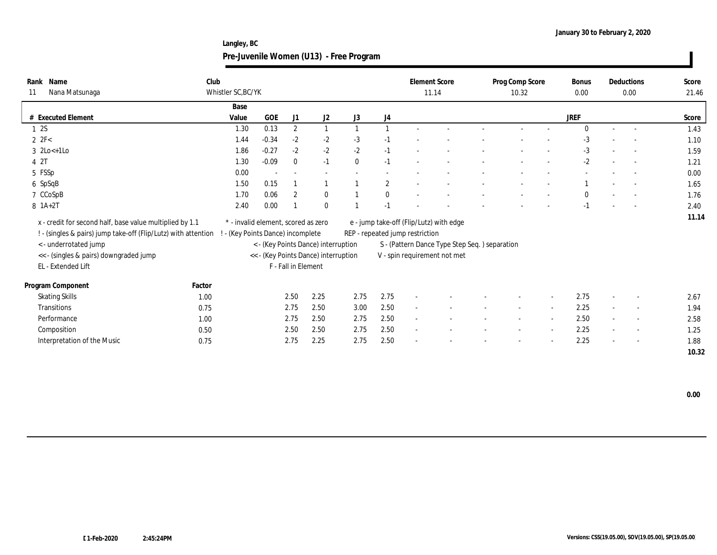**Langley, BC Pre-Juvenile Women (U13) - Free Program**

| Name<br>Rank<br>Nana Matsunaga<br>11                                                                                       | Club   | Whistler SC, BC/YK                                                     |         |                          |                                      |              |              | <b>Element Score</b>            | 11.14                                         | Prog Comp Score<br>10.32 |        | <b>Bonus</b><br>0.00 |        | Deductions<br>0.00       | Score<br>21.46 |
|----------------------------------------------------------------------------------------------------------------------------|--------|------------------------------------------------------------------------|---------|--------------------------|--------------------------------------|--------------|--------------|---------------------------------|-----------------------------------------------|--------------------------|--------|----------------------|--------|--------------------------|----------------|
|                                                                                                                            |        | Base                                                                   |         |                          |                                      |              |              |                                 |                                               |                          |        |                      |        |                          |                |
| # Executed Element                                                                                                         |        | Value                                                                  | GOE     | J1                       | J <sub>2</sub>                       | J3           | J4           |                                 |                                               |                          |        | <b>JREF</b>          |        |                          | Score          |
| 12S                                                                                                                        |        | 1.30                                                                   | 0.13    | $\mathbf{2}$             | $\mathbf{1}$                         |              |              |                                 |                                               |                          |        | $\Omega$             | $\sim$ |                          | 1.43           |
| $2$ $2F<$                                                                                                                  |        | 1.44                                                                   | $-0.34$ | $-2$                     | $-2$                                 | $-3$         | $-1$         |                                 |                                               |                          |        | $-3$                 |        |                          | 1.10           |
| $3 \ \text{2Lo} \leftarrow 1 \text{Lo}$                                                                                    |        | 1.86                                                                   | $-0.27$ | $-2$                     | $-2$                                 | $-2$         | $-1$         |                                 |                                               |                          |        | $-3$                 |        |                          | 1.59           |
| 4 2T                                                                                                                       |        | 1.30                                                                   | $-0.09$ | $\mathbf{0}$             | $-1$                                 | $\mathbf{0}$ | $-1$         |                                 |                                               |                          |        | $-2$                 |        | $\overline{\phantom{a}}$ | 1.21           |
| 5 FSSp                                                                                                                     |        | 0.00                                                                   |         | $\overline{\phantom{a}}$ |                                      |              |              |                                 |                                               |                          |        |                      |        |                          | 0.00           |
| 6 SpSqB                                                                                                                    |        | 1.50                                                                   | 0.15    |                          |                                      |              | $\mathbf{2}$ |                                 |                                               |                          |        |                      |        |                          | 1.65           |
| 7 CCoSpB                                                                                                                   |        | 1.70                                                                   | 0.06    | $\overline{2}$           | $\bf{0}$                             |              | $\bf{0}$     |                                 |                                               |                          |        | $\mathbf{0}$         |        |                          | 1.76           |
| 8 1A+2T                                                                                                                    |        | 2.40                                                                   | 0.00    |                          | $\mathbf{0}$                         |              | $-1$         |                                 |                                               |                          |        | $-1$                 |        |                          | 2.40           |
| x - credit for second half, base value multiplied by 1.1<br>! - (singles & pairs) jump take-off (Flip/Lutz) with attention |        | * - invalid element, scored as zero<br>- (Key Points Dance) incomplete |         |                          |                                      |              |              | REP - repeated jump restriction | e - jump take-off (Flip/Lutz) with edge       |                          |        |                      |        |                          | 11.14          |
| <- underrotated jump                                                                                                       |        |                                                                        |         |                          | < - (Key Points Dance) interruption  |              |              |                                 | S - (Pattern Dance Type Step Seq.) separation |                          |        |                      |        |                          |                |
| << - (singles & pairs) downgraded jump                                                                                     |        |                                                                        |         |                          | << - (Key Points Dance) interruption |              |              |                                 | V - spin requirement not met                  |                          |        |                      |        |                          |                |
| EL - Extended Lift                                                                                                         |        |                                                                        |         | F - Fall in Element      |                                      |              |              |                                 |                                               |                          |        |                      |        |                          |                |
| Program Component                                                                                                          | Factor |                                                                        |         |                          |                                      |              |              |                                 |                                               |                          |        |                      |        |                          |                |
| <b>Skating Skills</b>                                                                                                      | 1.00   |                                                                        |         | 2.50                     | 2.25                                 | 2.75         | 2.75         | $\overline{\phantom{a}}$        |                                               |                          |        | 2.75                 | $\sim$ |                          | 2.67           |
| <b>Transitions</b>                                                                                                         | 0.75   |                                                                        |         | 2.75                     | 2.50                                 | 3.00         | 2.50         | $\sim$                          |                                               | $\sim$                   | $\sim$ | 2.25                 | $\sim$ | $\sim$                   | 1.94           |
| Performance                                                                                                                | 1.00   |                                                                        |         | 2.75                     | 2.50                                 | 2.75         | 2.50         | $\sim$                          |                                               |                          |        | 2.50                 | $\sim$ | $\overline{\phantom{a}}$ | 2.58           |
| Composition                                                                                                                | 0.50   |                                                                        |         | 2.50                     | 2.50                                 | 2.75         | 2.50         | $\sim$                          |                                               |                          |        | 2.25                 | $\sim$ | $\sim$                   | 1.25           |
| Interpretation of the Music                                                                                                | 0.75   |                                                                        |         | 2.75                     | 2.25                                 | 2.75         | 2.50         |                                 |                                               |                          |        | 2.25                 | $\sim$ | $\sim$                   | 1.88           |
|                                                                                                                            |        |                                                                        |         |                          |                                      |              |              |                                 |                                               |                          |        |                      |        |                          | 10.32          |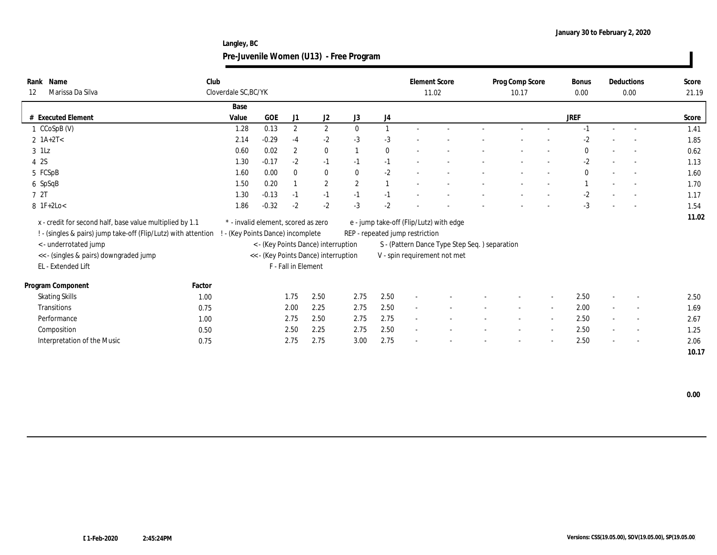**Langley, BC Pre-Juvenile Women (U13) - Free Program**

| Name<br>Rank<br>Marissa Da Silva<br>12                         | Club   | Cloverdale SC, BC/YK                |         |                     |                                      |              |                |                                 | <b>Element Score</b><br>11.02                  | Prog Comp Score<br>10.17 |                          | Bonus<br>0.00 |                          | Deductions<br>0.00       | Score<br>21.19 |
|----------------------------------------------------------------|--------|-------------------------------------|---------|---------------------|--------------------------------------|--------------|----------------|---------------------------------|------------------------------------------------|--------------------------|--------------------------|---------------|--------------------------|--------------------------|----------------|
|                                                                |        | Base                                |         |                     |                                      |              |                |                                 |                                                |                          |                          |               |                          |                          |                |
| # Executed Element                                             |        | Value                               | GOE     | J1                  | J <sub>2</sub>                       | J3           | J4             |                                 |                                                |                          |                          | <b>JREF</b>   |                          |                          | Score          |
| 1 CCoSpB (V)                                                   |        | 1.28                                | 0.13    | $\mathbf{2}$        | $\boldsymbol{2}$                     | $\mathbf{0}$ | $\overline{1}$ |                                 |                                                |                          |                          | $-1$          |                          |                          | 1.41           |
| $2 \text{ 1A+2T}$                                              |        | 2.14                                | $-0.29$ | $-4$                | $-2$                                 | $-3$         | $-3$           |                                 |                                                |                          |                          | $-2$          |                          |                          | 1.85           |
| $3$ 1Lz                                                        |        | 0.60                                | 0.02    | $\overline{2}$      | $\bf{0}$                             |              | $\bf{0}$       |                                 |                                                |                          |                          | $\bf{0}$      | $\overline{\phantom{a}}$ | $\sim$                   | 0.62           |
| 4 2S                                                           |        | 1.30                                | $-0.17$ | $-2$                | $-1$                                 | $-1$         | $-1$           |                                 |                                                |                          |                          | $-2$          |                          | $\overline{\phantom{a}}$ | 1.13           |
| 5 FCSpB                                                        |        | 1.60                                | 0.00    | $\mathbf{0}$        | $\bf{0}$                             | $\mathbf{0}$ | $-2$           |                                 |                                                |                          |                          | $\mathbf{0}$  |                          |                          | 1.60           |
| 6 SpSqB                                                        |        | 1.50                                | 0.20    |                     | $\mathbf{2}$                         | $\mathbf{2}$ | $\overline{1}$ |                                 |                                                |                          |                          |               |                          |                          | 1.70           |
| 7 2T                                                           |        | 1.30                                | $-0.13$ | $-1$                | $-1$                                 | $-1$         | $-1$           |                                 |                                                |                          |                          | $-2$          |                          |                          | 1.17           |
| $8$ 1F+2Lo<                                                    |        | 1.86                                | $-0.32$ | $-2$                | $-2$                                 | $-3$         | $-2$           |                                 |                                                |                          |                          | $-3$          |                          |                          | 1.54           |
| x - credit for second half, base value multiplied by 1.1       |        | * - invalid element, scored as zero |         |                     |                                      |              |                |                                 | e - jump take-off (Flip/Lutz) with edge        |                          |                          |               |                          |                          | 11.02          |
| ! - (singles & pairs) jump take-off (Flip/Lutz) with attention |        | - (Key Points Dance) incomplete     |         |                     |                                      |              |                | REP - repeated jump restriction |                                                |                          |                          |               |                          |                          |                |
| < - underrotated jump                                          |        |                                     |         |                     | < - (Key Points Dance) interruption  |              |                |                                 | S - (Pattern Dance Type Step Seq. ) separation |                          |                          |               |                          |                          |                |
| << - (singles & pairs) downgraded jump                         |        |                                     |         |                     | << - (Key Points Dance) interruption |              |                |                                 | V - spin requirement not met                   |                          |                          |               |                          |                          |                |
| EL - Extended Lift                                             |        |                                     |         | F - Fall in Element |                                      |              |                |                                 |                                                |                          |                          |               |                          |                          |                |
| Program Component                                              | Factor |                                     |         |                     |                                      |              |                |                                 |                                                |                          |                          |               |                          |                          |                |
| <b>Skating Skills</b>                                          | 1.00   |                                     |         | 1.75                | 2.50                                 | 2.75         | 2.50           | $\overline{\phantom{a}}$        |                                                |                          |                          | 2.50          | $\overline{\phantom{a}}$ |                          | 2.50           |
| <b>Transitions</b>                                             | 0.75   |                                     |         | 2.00                | 2.25                                 | 2.75         | 2.50           | $\sim$                          |                                                | $\sim$                   | $\overline{\phantom{a}}$ | 2.00          | $\sim$                   | $\sim$                   | 1.69           |
| Performance                                                    | 1.00   |                                     |         | 2.75                | 2.50                                 | 2.75         | 2.75           | $\sim$                          |                                                |                          |                          | 2.50          | $\sim$                   |                          | 2.67           |
| Composition                                                    | 0.50   |                                     |         | 2.50                | 2.25                                 | 2.75         | 2.50           | $\sim$                          |                                                |                          |                          | 2.50          | $\sim$                   | $\sim$                   | 1.25           |
| Interpretation of the Music                                    | 0.75   |                                     |         | 2.75                | 2.75                                 | 3.00         | 2.75           |                                 |                                                |                          |                          | 2.50          | $\sim$                   | $\sim$                   | 2.06           |
|                                                                |        |                                     |         |                     |                                      |              |                |                                 |                                                |                          |                          |               |                          |                          | 10.17          |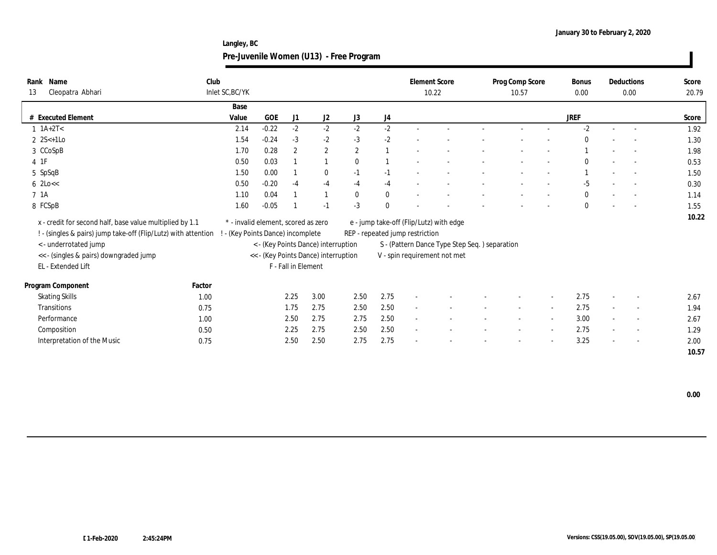**Langley, BC Pre-Juvenile Women (U13) - Free Program**

| Club<br>Name<br>Rank<br>Cleopatra Abhari<br>13                 | Inlet SC, BC/YK                   |                                     |                     |                                      |              |              |                                 | <b>Element Score</b><br>10.22                 | Prog Comp Score<br>10.57 |                          | <b>Bonus</b><br>$0.00\,$ | Deductions<br>0.00       | Score<br>20.79 |
|----------------------------------------------------------------|-----------------------------------|-------------------------------------|---------------------|--------------------------------------|--------------|--------------|---------------------------------|-----------------------------------------------|--------------------------|--------------------------|--------------------------|--------------------------|----------------|
|                                                                | Base                              |                                     |                     |                                      |              |              |                                 |                                               |                          |                          |                          |                          |                |
| <b>Executed Element</b><br>#                                   | Value                             | <b>GOE</b>                          | J1                  | J <sub>2</sub>                       | J3           | J4           |                                 |                                               |                          |                          | JREF                     |                          | Score          |
| $1 \ 1A+2T2$                                                   | 2.14                              | $-0.22$                             | $-2$                | $-2$                                 | $-2$         | $-2$         |                                 |                                               |                          |                          | $-2$                     | $\overline{\phantom{a}}$ | 1.92           |
| 2 $2S<+1LO$                                                    | 1.54                              | $-0.24$                             | $-3$                | $-2$                                 | $-3$         | $-2$         |                                 |                                               |                          |                          | $\Omega$                 | $\overline{a}$           | 1.30           |
| 3 CCoSpB                                                       | 1.70                              | 0.28                                | $\overline{2}$      | $\mathbf{2}$                         | $\mathbf{2}$ |              |                                 |                                               |                          |                          |                          | $\sim$                   | 1.98           |
| 4 1F                                                           | 0.50                              | 0.03                                |                     | $\mathbf{1}$                         | $\mathbf{0}$ |              |                                 |                                               |                          |                          | $\Omega$                 | $\sim$                   | 0.53           |
| 5 SpSqB                                                        | 1.50                              | 0.00                                |                     | $\bf{0}$                             | $-1$         | $-1$         |                                 |                                               |                          |                          |                          |                          | 1.50           |
| $6 \text{ 2Lo} <$                                              | 0.50                              | $-0.20$                             | $-4$                | $-4$                                 | $-4$         | $-4$         |                                 |                                               |                          |                          | $-5$                     | $\overline{\phantom{a}}$ | 0.30           |
| 7 1A                                                           | 1.10                              | 0.04                                |                     | $\overline{1}$                       | $\mathbf{0}$ | $\bf{0}$     |                                 |                                               |                          |                          | $\mathbf{0}$             | $\sim$                   | 1.14           |
| 8 FCSpB                                                        | 1.60                              | $-0.05$                             |                     | $-1$                                 | $-3$         | $\mathbf{0}$ |                                 |                                               |                          |                          | $\mathbf{0}$             |                          | 1.55           |
| x - credit for second half, base value multiplied by 1.1       |                                   | * - invalid element, scored as zero |                     |                                      |              |              |                                 | e - jump take-off (Flip/Lutz) with edge       |                          |                          |                          |                          | 10.22          |
| ! - (singles & pairs) jump take-off (Flip/Lutz) with attention | ! - (Key Points Dance) incomplete |                                     |                     |                                      |              |              | REP - repeated jump restriction |                                               |                          |                          |                          |                          |                |
| <- underrotated jump                                           |                                   |                                     |                     | < - (Key Points Dance) interruption  |              |              |                                 | S - (Pattern Dance Type Step Seq.) separation |                          |                          |                          |                          |                |
| << - (singles & pairs) downgraded jump                         |                                   |                                     |                     | << - (Key Points Dance) interruption |              |              |                                 | V - spin requirement not met                  |                          |                          |                          |                          |                |
| EL - Extended Lift                                             |                                   |                                     | F - Fall in Element |                                      |              |              |                                 |                                               |                          |                          |                          |                          |                |
| Factor<br>Program Component                                    |                                   |                                     |                     |                                      |              |              |                                 |                                               |                          |                          |                          |                          |                |
| <b>Skating Skills</b><br>1.00                                  |                                   |                                     | 2.25                | 3.00                                 | 2.50         | 2.75         | $\overline{\phantom{a}}$        |                                               |                          | $\overline{\phantom{a}}$ | 2.75                     | $\overline{\phantom{a}}$ | 2.67           |
| <b>Transitions</b><br>0.75                                     |                                   |                                     | 1.75                | 2.75                                 | 2.50         | 2.50         | $\sim$                          |                                               | $\sim$                   | $\sim$                   | 2.75                     | $\overline{\phantom{a}}$ | 1.94           |
| Performance<br>1.00                                            |                                   |                                     | 2.50                | 2.75                                 | 2.75         | 2.50         | $\sim$                          |                                               |                          | $\overline{\phantom{a}}$ | 3.00                     | $\overline{\phantom{a}}$ | 2.67           |
| Composition<br>0.50                                            |                                   |                                     | 2.25                | 2.75                                 | 2.50         | 2.50         |                                 |                                               |                          | $\overline{\phantom{a}}$ | 2.75                     | $\sim$                   | 1.29           |
| Interpretation of the Music<br>0.75                            |                                   |                                     | 2.50                | 2.50                                 | 2.75         | 2.75         |                                 |                                               |                          | $\overline{\phantom{a}}$ | 3.25                     | $\overline{\phantom{a}}$ | 2.00           |
|                                                                |                                   |                                     |                     |                                      |              |              |                                 |                                               |                          |                          |                          |                          | 10.57          |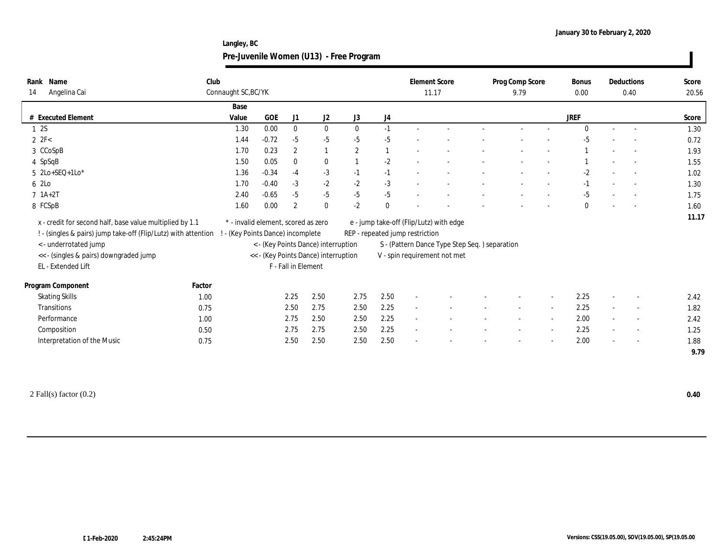**Langley, BC Pre-Juvenile Women (U13) - Free Program**

| Rank Name<br>Angelina Cai<br>14                                                                                            | Club   | Connaught SC, BC/YK                                                    |         |                     |                                      |                |              | <b>Element Score</b><br>11.17   |                                               |                          | Prog Comp Score<br>9.79 |        | <b>Bonus</b><br>0.00 |                          | Deductions<br>0.40       | Score<br>20.56 |
|----------------------------------------------------------------------------------------------------------------------------|--------|------------------------------------------------------------------------|---------|---------------------|--------------------------------------|----------------|--------------|---------------------------------|-----------------------------------------------|--------------------------|-------------------------|--------|----------------------|--------------------------|--------------------------|----------------|
|                                                                                                                            |        | Base                                                                   |         |                     |                                      |                |              |                                 |                                               |                          |                         |        |                      |                          |                          |                |
| # Executed Element                                                                                                         |        | Value                                                                  | GOE     | J1                  | J2                                   | J3             | J4           |                                 |                                               |                          |                         |        | <b>JREF</b>          |                          |                          | Score          |
| 12S                                                                                                                        |        | 1.30                                                                   | 0.00    | $\mathbf{0}$        | $\mathbf{0}$                         | $\theta$       | $-1$         |                                 |                                               |                          |                         |        |                      |                          |                          | 1.30           |
| $2 \text{ } 2\text{F} < 2\text{ }$                                                                                         |        | 1.44                                                                   | $-0.72$ | $-5$                | $-5$                                 | $-5$           | $-5$         |                                 |                                               |                          |                         |        | $-5$                 |                          |                          | 0.72           |
| 3 CCoSpB                                                                                                                   |        | 1.70                                                                   | 0.23    | $\mathbf{2}$        |                                      | $\overline{2}$ |              |                                 |                                               |                          |                         |        |                      |                          |                          | 1.93           |
| 4 SpSqB                                                                                                                    |        | 1.50                                                                   | 0.05    | $\mathbf{0}$        | $\bf{0}$                             |                | $-2$         |                                 |                                               |                          |                         |        |                      |                          |                          | 1.55           |
| $5$ 2Lo+SEQ+1Lo*                                                                                                           |        | 1.36                                                                   | $-0.34$ | $-4$                | $-3$                                 | $-1$           | $-1$         |                                 |                                               |                          |                         |        | $-2$                 | $\overline{\phantom{a}}$ |                          | 1.02           |
| 6 2Lo                                                                                                                      |        | 1.70                                                                   | $-0.40$ | $-3$                | $-2$                                 | $-2$           | $-3$         |                                 |                                               |                          |                         |        | $-1$                 |                          |                          | 1.30           |
| $7 \; 1A+2T$                                                                                                               |        | 2.40                                                                   | $-0.65$ | $-5$                | $-5$                                 | $-5$           | $-5$         |                                 |                                               |                          |                         |        | $-5$                 |                          |                          | 1.75           |
| 8 FCSpB                                                                                                                    |        | 1.60                                                                   | 0.00    | $\overline{2}$      | $\bf{0}$                             | $-2$           | $\mathbf{0}$ |                                 |                                               |                          |                         |        | 0                    | $\sim$                   |                          | 1.60           |
| x - credit for second half, base value multiplied by 1.1<br>! - (singles & pairs) jump take-off (Flip/Lutz) with attention |        | * - invalid element, scored as zero<br>- (Key Points Dance) incomplete |         |                     |                                      |                |              | REP - repeated jump restriction | e - jump take-off (Flip/Lutz) with edge       |                          |                         |        |                      |                          |                          | 11.17          |
| < - underrotated jump                                                                                                      |        |                                                                        |         |                     | < - (Key Points Dance) interruption  |                |              |                                 | S - (Pattern Dance Type Step Seq.) separation |                          |                         |        |                      |                          |                          |                |
| << - (singles & pairs) downgraded jump                                                                                     |        |                                                                        |         |                     | << - (Key Points Dance) interruption |                |              |                                 | V - spin requirement not met                  |                          |                         |        |                      |                          |                          |                |
| EL - Extended Lift                                                                                                         |        |                                                                        |         | F - Fall in Element |                                      |                |              |                                 |                                               |                          |                         |        |                      |                          |                          |                |
| Program Component                                                                                                          | Factor |                                                                        |         |                     |                                      |                |              |                                 |                                               |                          |                         |        |                      |                          |                          |                |
| <b>Skating Skills</b>                                                                                                      | 1.00   |                                                                        |         | 2.25                | 2.50                                 | 2.75           | 2.50         |                                 |                                               |                          |                         | $\sim$ | 2.25                 | $\sim$                   |                          | 2.42           |
| Transitions                                                                                                                | 0.75   |                                                                        |         | 2.50                | 2.75                                 | 2.50           | 2.25         | $\sim$                          |                                               |                          |                         | $\sim$ | 2.25                 | $\sim$                   |                          | 1.82           |
| Performance                                                                                                                | 1.00   |                                                                        |         | 2.75                | 2.50                                 | 2.50           | 2.25         | $\overline{\phantom{a}}$        |                                               | $\overline{\phantom{a}}$ |                         |        | 2.00                 | $\sim$                   | $\sim$                   | 2.42           |
| Composition                                                                                                                | 0.50   |                                                                        |         | 2.75                | 2.75                                 | 2.50           | 2.25         |                                 |                                               |                          |                         |        | 2.25                 | $\sim$                   | $\overline{\phantom{a}}$ | 1.25           |
| Interpretation of the Music                                                                                                | 0.75   |                                                                        |         | 2.50                | 2.50                                 | 2.50           | 2.50         |                                 |                                               |                          |                         |        | 2.00                 |                          |                          | 1.88           |
|                                                                                                                            |        |                                                                        |         |                     |                                      |                |              |                                 |                                               |                          |                         |        |                      |                          |                          | 9.79           |
|                                                                                                                            |        |                                                                        |         |                     |                                      |                |              |                                 |                                               |                          |                         |        |                      |                          |                          |                |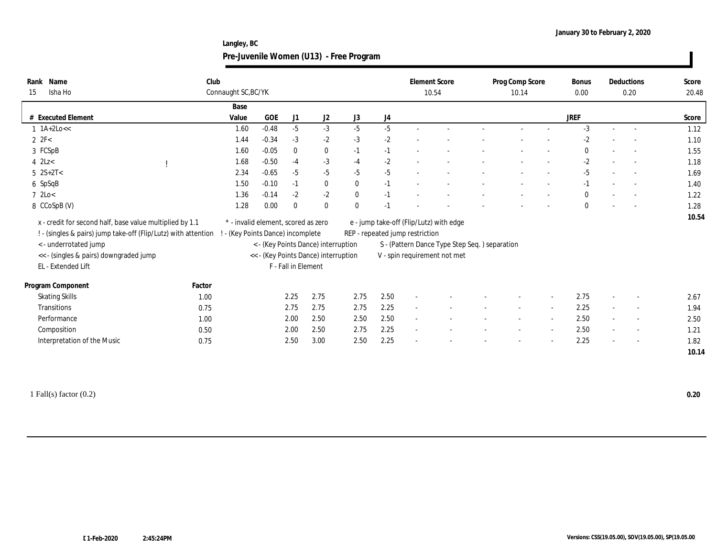**Langley, BC Pre-Juvenile Women (U13) - Free Program**

| Rank Name<br>Isha Ho<br>15                                                                                                                                                                                          | Club   | Connaught SC, BC/YK                                                    |            |                     |                                                                             |              |                                 | <b>Element Score</b><br>10.54 |                                                                                                                          | Prog Comp Score<br>10.14 | Bonus<br>$0.00\,$ |        | Deductions<br>0.20       | Score<br>20.48 |
|---------------------------------------------------------------------------------------------------------------------------------------------------------------------------------------------------------------------|--------|------------------------------------------------------------------------|------------|---------------------|-----------------------------------------------------------------------------|--------------|---------------------------------|-------------------------------|--------------------------------------------------------------------------------------------------------------------------|--------------------------|-------------------|--------|--------------------------|----------------|
|                                                                                                                                                                                                                     |        | Base                                                                   |            |                     |                                                                             |              |                                 |                               |                                                                                                                          |                          |                   |        |                          |                |
| # Executed Element                                                                                                                                                                                                  |        | Value                                                                  | <b>GOE</b> | J1                  | J2                                                                          | J3           | J4                              |                               |                                                                                                                          |                          | <b>JREF</b>       |        |                          | Score          |
| $1 1A+2Lo <<$                                                                                                                                                                                                       |        | 1.60                                                                   | $-0.48$    | $-5$                | $-3$                                                                        | $-5$         | $-5$                            |                               |                                                                                                                          |                          | $-3$              | $\sim$ | $\sim$                   | 1.12           |
| $2 \text{ } 2\text{F} <$                                                                                                                                                                                            |        | 1.44                                                                   | $-0.34$    | $-3$                | $-2$                                                                        | $-3$         | $-2$                            |                               |                                                                                                                          |                          | $-2$              |        |                          | 1.10           |
| 3 FCSpB                                                                                                                                                                                                             |        | 1.60                                                                   | $-0.05$    | $\mathbf{0}$        | $\bf{0}$                                                                    | $-1$         | $-1$                            |                               |                                                                                                                          |                          | $\bf{0}$          |        |                          | 1.55           |
| $4$ 2Lz $<$                                                                                                                                                                                                         |        | 1.68                                                                   | $-0.50$    | $-4$                | $-3$                                                                        | $-4$         | $-2$                            |                               |                                                                                                                          |                          | $-2$              | $\sim$ |                          | 1.18           |
| $5 \ 2S+2T<$                                                                                                                                                                                                        |        | 2.34                                                                   | $-0.65$    | $-5$                | $-5$                                                                        | $-5$         | $-5$                            |                               |                                                                                                                          |                          | $-5$              |        |                          | 1.69           |
| 6 SpSqB                                                                                                                                                                                                             |        | 1.50                                                                   | $-0.10$    | $-1$                | $\bf{0}$                                                                    | $\bf{0}$     | $-1$                            |                               |                                                                                                                          |                          | $-1$              |        | $\overline{\phantom{0}}$ | 1.40           |
| $7 \text{ } 2 \text{Lo} <$                                                                                                                                                                                          |        | 1.36                                                                   | $-0.14$    | $-2$                | $-2$                                                                        | $\bf{0}$     | $-1$                            |                               |                                                                                                                          |                          | $\mathbf{0}$      |        |                          | 1.22           |
| 8 CCoSpB (V)                                                                                                                                                                                                        |        | 1.28                                                                   | 0.00       | $\Omega$            | $\bf{0}$                                                                    | $\mathbf{0}$ | $-1$                            |                               |                                                                                                                          |                          | $\mathbf{0}$      |        |                          | 1.28           |
| x - credit for second half, base value multiplied by 1.1<br>! - (singles & pairs) jump take-off (Flip/Lutz) with attention<br>< - underrotated jump<br><< - (singles & pairs) downgraded jump<br>EL - Extended Lift |        | * - invalid element, scored as zero<br>- (Key Points Dance) incomplete |            | F - Fall in Element | < - (Key Points Dance) interruption<br><< - (Key Points Dance) interruption |              | REP - repeated jump restriction |                               | e - jump take-off (Flip/Lutz) with edge<br>S - (Pattern Dance Type Step Seq.) separation<br>V - spin requirement not met |                          |                   |        |                          | 10.54          |
| Program Component                                                                                                                                                                                                   | Factor |                                                                        |            |                     |                                                                             |              |                                 |                               |                                                                                                                          |                          |                   |        |                          |                |
| <b>Skating Skills</b>                                                                                                                                                                                               | 1.00   |                                                                        |            | 2.25                | 2.75                                                                        | 2.75         | 2.50                            |                               |                                                                                                                          |                          | 2.75              |        |                          | 2.67           |
| Transitions                                                                                                                                                                                                         | 0.75   |                                                                        |            | 2.75                | 2.75                                                                        | 2.75         | 2.25                            | $\sim$                        |                                                                                                                          |                          | 2.25              | $\sim$ |                          | 1.94           |
| Performance                                                                                                                                                                                                         | 1.00   |                                                                        |            | 2.00                | 2.50                                                                        | 2.50         | 2.50                            |                               |                                                                                                                          |                          | 2.50              | $\sim$ | $\sim$                   | 2.50           |
| Composition                                                                                                                                                                                                         | 0.50   |                                                                        |            | 2.00                | 2.50                                                                        | 2.75         | 2.25                            |                               |                                                                                                                          |                          | 2.50              | $\sim$ | $\overline{\phantom{a}}$ | 1.21           |
|                                                                                                                                                                                                                     |        |                                                                        |            |                     |                                                                             |              |                                 |                               |                                                                                                                          |                          |                   |        |                          |                |
| Interpretation of the Music                                                                                                                                                                                         | 0.75   |                                                                        |            | 2.50                | 3.00                                                                        | 2.50         | 2.25                            |                               |                                                                                                                          |                          | 2.25              |        |                          | 1.82           |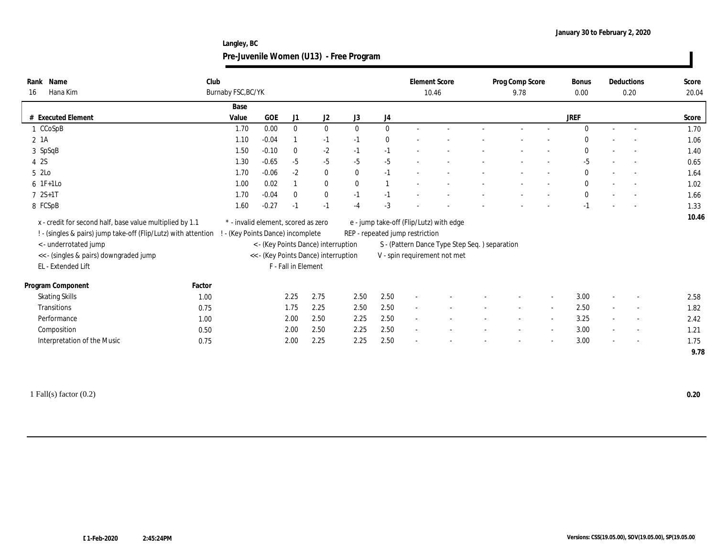**Langley, BC Pre-Juvenile Women (U13) - Free Program**

| Name<br>Rank<br>Hana Kim<br>16                                                                                             | Club   | Burnaby FSC, BC/YK                                                     |         |                     |                                      |              |                                 | <b>Element Score</b><br>10.46 |                                               | Prog Comp Score<br>9.78 | <b>Bonus</b><br>0.00 |                          | Deductions<br>0.20       | Score<br>20.04 |
|----------------------------------------------------------------------------------------------------------------------------|--------|------------------------------------------------------------------------|---------|---------------------|--------------------------------------|--------------|---------------------------------|-------------------------------|-----------------------------------------------|-------------------------|----------------------|--------------------------|--------------------------|----------------|
|                                                                                                                            |        | Base                                                                   |         |                     |                                      |              |                                 |                               |                                               |                         |                      |                          |                          |                |
| # Executed Element                                                                                                         |        | Value                                                                  | GOE     | J1                  | J2                                   | J3           | J4                              |                               |                                               |                         | <b>JREF</b>          |                          |                          | Score          |
| 1 CCoSpB                                                                                                                   |        | 1.70                                                                   | 0.00    | $\bf{0}$            | $\bf{0}$                             | $\mathbf{0}$ | $\bf{0}$                        |                               |                                               |                         | $\mathbf{0}$         | $\sim$                   | $\sim$                   | 1.70           |
| 2 1A                                                                                                                       |        | 1.10                                                                   | $-0.04$ |                     | $-1$                                 | $-1$         | $\bf{0}$                        |                               |                                               |                         | 0                    |                          |                          | 1.06           |
| 3 SpSqB                                                                                                                    |        | 1.50                                                                   | $-0.10$ | $\bf{0}$            | $-2$                                 | $-1$         | $-1$                            | $\overline{\phantom{a}}$      |                                               |                         | $\bf{0}$             | $\sim$                   |                          | 1.40           |
| 4 2S                                                                                                                       |        | 1.30                                                                   | $-0.65$ | $-5$                | $-5$                                 | $-5$         | $-5$                            |                               |                                               |                         | $-5$                 | $\overline{\phantom{a}}$ |                          | 0.65           |
| 5 2Lo                                                                                                                      |        | 1.70                                                                   | $-0.06$ | $-2$                | $\bf{0}$                             | $\mathbf{0}$ | $-1$                            |                               |                                               |                         | $\mathbf{0}$         | $\sim$                   |                          | 1.64           |
| $6$ 1F+1Lo                                                                                                                 |        | 1.00                                                                   | 0.02    |                     | $\bf{0}$                             | $\mathbf{0}$ | $\overline{1}$                  |                               |                                               |                         | $\bf{0}$             | $\sim$                   |                          | 1.02           |
| $72S+1T$                                                                                                                   |        | 1.70                                                                   | $-0.04$ | $\bf{0}$            | $\bf{0}$                             | $-1$         | $-1$                            |                               |                                               |                         | $\mathbf{0}$         |                          | $\sim$                   | 1.66           |
| 8 FCSpB                                                                                                                    |        | 1.60                                                                   | $-0.27$ | $-1$                | $-1$                                 | $-4$         | $-3$                            |                               |                                               |                         | $-1$                 |                          |                          | 1.33           |
| x - credit for second half, base value multiplied by 1.1<br>! - (singles & pairs) jump take-off (Flip/Lutz) with attention |        | * - invalid element, scored as zero<br>- (Key Points Dance) incomplete |         |                     |                                      |              | REP - repeated jump restriction |                               | e - jump take-off (Flip/Lutz) with edge       |                         |                      |                          |                          | 10.46          |
| < - underrotated jump                                                                                                      |        |                                                                        |         |                     | < - (Key Points Dance) interruption  |              |                                 |                               | S - (Pattern Dance Type Step Seq.) separation |                         |                      |                          |                          |                |
| << - (singles & pairs) downgraded jump                                                                                     |        |                                                                        |         |                     | << - (Key Points Dance) interruption |              |                                 |                               | V - spin requirement not met                  |                         |                      |                          |                          |                |
| EL - Extended Lift                                                                                                         |        |                                                                        |         | F - Fall in Element |                                      |              |                                 |                               |                                               |                         |                      |                          |                          |                |
| Program Component                                                                                                          | Factor |                                                                        |         |                     |                                      |              |                                 |                               |                                               |                         |                      |                          |                          |                |
| <b>Skating Skills</b>                                                                                                      | 1.00   |                                                                        |         | 2.25                | 2.75                                 | 2.50         | 2.50                            | $\overline{\phantom{a}}$      |                                               |                         | 3.00                 | $\sim$                   |                          | 2.58           |
| <b>Transitions</b>                                                                                                         | 0.75   |                                                                        |         | 1.75                | 2.25                                 | 2.50         | 2.50                            | $\sim$                        |                                               |                         | 2.50                 | $\sim$                   | $\overline{\phantom{a}}$ | 1.82           |
| Performance                                                                                                                | 1.00   |                                                                        |         | 2.00                | 2.50                                 | 2.25         | 2.50                            | $\sim$                        |                                               |                         | 3.25                 | $\sim$                   | $\overline{\phantom{a}}$ | 2.42           |
| Composition                                                                                                                | 0.50   |                                                                        |         | 2.00                | 2.50                                 | 2.25         | 2.50                            | $\sim$                        |                                               |                         | 3.00                 | $\sim$                   | $\overline{\phantom{a}}$ | 1.21           |
| Interpretation of the Music                                                                                                | 0.75   |                                                                        |         | 2.00                | 2.25                                 | 2.25         | 2.50                            |                               |                                               |                         | 3.00                 |                          |                          | 1.75           |
|                                                                                                                            |        |                                                                        |         |                     |                                      |              |                                 |                               |                                               |                         |                      |                          |                          | 9.78           |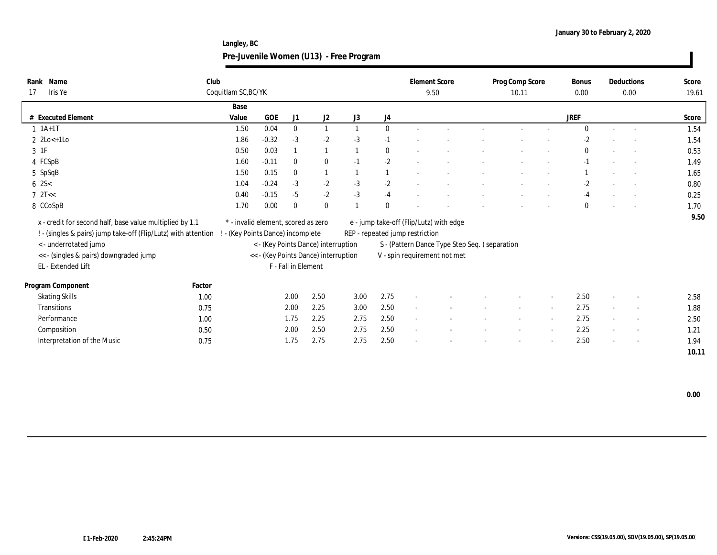**Langley, BC Pre-Juvenile Women (U13) - Free Program**

| Name<br>Rank                                                   | Club   |                                     |         |                     |                                      |      |              |                                 | <b>Element Score</b>                           | Prog Comp Score |                          | Bonus        |                          | Deductions | Score |
|----------------------------------------------------------------|--------|-------------------------------------|---------|---------------------|--------------------------------------|------|--------------|---------------------------------|------------------------------------------------|-----------------|--------------------------|--------------|--------------------------|------------|-------|
| Iris Ye<br>17                                                  |        | Coquitlam SC, BC/YK                 |         |                     |                                      |      |              |                                 | 9.50                                           | 10.11           |                          | 0.00         |                          | 0.00       | 19.61 |
|                                                                |        | Base                                |         |                     |                                      |      |              |                                 |                                                |                 |                          |              |                          |            |       |
| # Executed Element                                             |        | Value                               | GOE     | J1                  | J <sub>2</sub>                       | J3   | J4           |                                 |                                                |                 |                          | <b>JREF</b>  |                          |            | Score |
| $1 \t1A+1T$                                                    |        | 1.50                                | 0.04    | $\bf{0}$            | 1                                    |      | $\mathbf{0}$ |                                 |                                                |                 |                          | $\Omega$     |                          |            | 1.54  |
| $2 \text{ } 2\text{Lo}$ +1 $\text{Lo}$                         |        | 1.86                                | $-0.32$ | $-3$                | $-2$                                 | $-3$ | $-1$         |                                 |                                                |                 |                          | $-2$         |                          |            | 1.54  |
| 3 1F                                                           |        | 0.50                                | 0.03    |                     | $\mathbf{1}$                         |      | $\bf{0}$     |                                 |                                                |                 |                          | $\bf{0}$     | $\overline{\phantom{a}}$ | $\sim$     | 0.53  |
| 4 FCSpB                                                        |        | 1.60                                | $-0.11$ | $\theta$            | $\bf{0}$                             | $-1$ | $-2$         |                                 |                                                |                 |                          | $-1$         |                          | $\sim$     | 1.49  |
| 5 SpSqB                                                        |        | 1.50                                | 0.15    | $\mathbf{0}$        | $\mathbf{1}$                         |      | $\mathbf{1}$ |                                 |                                                |                 |                          |              |                          |            | 1.65  |
| $6 \, 2S <$                                                    |        | 1.04                                | $-0.24$ | $-3$                | $-2$                                 | $-3$ | $-2$         |                                 |                                                |                 |                          | $-2$         |                          |            | 0.80  |
| $7 \text{ } 2T <$                                              |        | 0.40                                | $-0.15$ | $-5$                | $-2$                                 | $-3$ | $-4$         |                                 |                                                |                 |                          | $-4$         | $\overline{\phantom{a}}$ |            | 0.25  |
| 8 CCoSpB                                                       |        | 1.70                                | 0.00    | $\bf{0}$            | $\bf{0}$                             |      | $\mathbf{0}$ |                                 |                                                |                 |                          | $\mathbf{0}$ |                          |            | 1.70  |
| x - credit for second half, base value multiplied by 1.1       |        | * - invalid element, scored as zero |         |                     |                                      |      |              |                                 | e - jump take-off (Flip/Lutz) with edge        |                 |                          |              |                          |            | 9.50  |
| ! - (singles & pairs) jump take-off (Flip/Lutz) with attention |        | - (Key Points Dance) incomplete     |         |                     |                                      |      |              | REP - repeated jump restriction |                                                |                 |                          |              |                          |            |       |
| < - underrotated jump                                          |        |                                     |         |                     | < - (Key Points Dance) interruption  |      |              |                                 | S - (Pattern Dance Type Step Seq. ) separation |                 |                          |              |                          |            |       |
| << - (singles & pairs) downgraded jump                         |        |                                     |         |                     | << - (Key Points Dance) interruption |      |              |                                 | V - spin requirement not met                   |                 |                          |              |                          |            |       |
| EL - Extended Lift                                             |        |                                     |         | F - Fall in Element |                                      |      |              |                                 |                                                |                 |                          |              |                          |            |       |
|                                                                |        |                                     |         |                     |                                      |      |              |                                 |                                                |                 |                          |              |                          |            |       |
| Program Component                                              | Factor |                                     |         |                     |                                      |      |              |                                 |                                                |                 |                          |              |                          |            |       |
| <b>Skating Skills</b>                                          | 1.00   |                                     |         | 2.00                | 2.50                                 | 3.00 | 2.75         | $\overline{\phantom{a}}$        |                                                |                 |                          | 2.50         | $\overline{\phantom{a}}$ |            | 2.58  |
| <b>Transitions</b>                                             | 0.75   |                                     |         | 2.00                | 2.25                                 | 3.00 | 2.50         | $\sim$                          |                                                | $\sim$          | $\overline{\phantom{a}}$ | 2.75         | $\sim$                   | $\sim$     | 1.88  |
| Performance                                                    | 1.00   |                                     |         | 1.75                | 2.25                                 | 2.75 | 2.50         | $\sim$                          |                                                |                 |                          | 2.75         | $\sim$                   |            | 2.50  |
| Composition                                                    | 0.50   |                                     |         | 2.00                | 2.50                                 | 2.75 | 2.50         | $\sim$                          |                                                |                 |                          | 2.25         | $\sim$                   | $\sim$     | 1.21  |
| Interpretation of the Music                                    | 0.75   |                                     |         | 1.75                | 2.75                                 | 2.75 | 2.50         |                                 |                                                |                 |                          | 2.50         | $\sim$                   | $\sim$     | 1.94  |
|                                                                |        |                                     |         |                     |                                      |      |              |                                 |                                                |                 |                          |              |                          |            | 10.11 |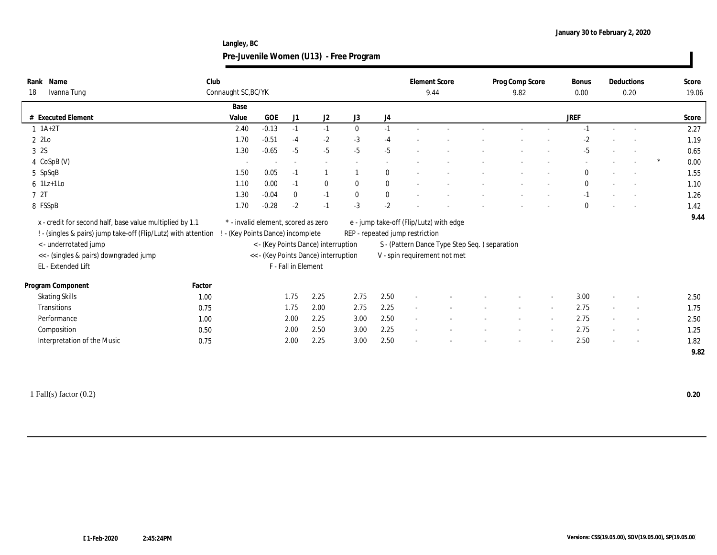**Langley, BC Pre-Juvenile Women (U13) - Free Program**

| Name<br>Rank<br>Ivanna Tung<br>18                                                                                                                                                                                  | Club<br>Connaught SC, BC/YK       |                                     |                          |                                                                             |              |              | <b>Element Score</b><br>9.44    |                                                                                                                          |                          | Prog Comp Score<br>9.82 |        | <b>Bonus</b><br>0.00 |                          | Deductions<br>0.20       | Score<br>19.06 |
|--------------------------------------------------------------------------------------------------------------------------------------------------------------------------------------------------------------------|-----------------------------------|-------------------------------------|--------------------------|-----------------------------------------------------------------------------|--------------|--------------|---------------------------------|--------------------------------------------------------------------------------------------------------------------------|--------------------------|-------------------------|--------|----------------------|--------------------------|--------------------------|----------------|
|                                                                                                                                                                                                                    | Base                              |                                     |                          |                                                                             |              |              |                                 |                                                                                                                          |                          |                         |        |                      |                          |                          |                |
| # Executed Element                                                                                                                                                                                                 | Value                             | <b>GOE</b>                          | J1                       | J <sub>2</sub>                                                              | J3           | J4           |                                 |                                                                                                                          |                          |                         |        | <b>JREF</b>          |                          |                          | Score          |
| $1 \ 1A+2T$                                                                                                                                                                                                        | 2.40                              | $-0.13$                             | $-1$                     | $-1$                                                                        | $\mathbf{0}$ | $-1$         |                                 |                                                                                                                          |                          |                         |        | $-1$                 |                          |                          | 2.27           |
| 2 2Lo                                                                                                                                                                                                              | 1.70                              | $-0.51$                             | $-4$                     | $-2$                                                                        | $-3$         | $-4$         |                                 |                                                                                                                          |                          |                         |        | $-2$                 |                          |                          | 1.19           |
| 3 2S                                                                                                                                                                                                               | 1.30                              | $-0.65$                             | $-5$                     | $-5$                                                                        | $-5$         | $-5$         |                                 |                                                                                                                          |                          |                         |        | $-5$                 |                          |                          | 0.65           |
| 4 CoSpB (V)                                                                                                                                                                                                        | $\overline{\phantom{a}}$          |                                     | $\overline{\phantom{a}}$ | $\overline{\phantom{a}}$                                                    |              |              |                                 |                                                                                                                          |                          |                         |        |                      |                          |                          | 0.00           |
| 5 SpSqB                                                                                                                                                                                                            | 1.50                              | 0.05                                | $-1$                     |                                                                             |              | $\mathbf{0}$ |                                 |                                                                                                                          |                          |                         |        | $\mathbf{0}$         | $\sim$                   |                          | 1.55           |
| $6$ 1Lz+1Lo                                                                                                                                                                                                        | 1.10                              | 0.00                                | $-1$                     | $\bf{0}$                                                                    | $\mathbf{0}$ | $\bf{0}$     |                                 |                                                                                                                          |                          |                         |        | $\bf{0}$             |                          |                          | 1.10           |
| 7 2T                                                                                                                                                                                                               | 1.30                              | $-0.04$                             | $\bf{0}$                 | $-1$                                                                        | $\mathbf{0}$ | $\bf{0}$     |                                 |                                                                                                                          |                          |                         |        | $-1$                 |                          |                          | 1.26           |
| 8 FSSpB                                                                                                                                                                                                            | 1.70                              | $-0.28$                             | $-2$                     | $-1$                                                                        | $-3$         | $-2$         |                                 |                                                                                                                          |                          |                         |        | $\mathbf{0}$         |                          |                          | 1.42           |
| x - credit for second half, base value multiplied by 1.1<br>! - (singles & pairs) jump take-off (Flip/Lutz) with attention<br><- underrotated jump<br><< - (singles & pairs) downgraded jump<br>EL - Extended Lift | ! - (Key Points Dance) incomplete | * - invalid element, scored as zero | F - Fall in Element      | < - (Key Points Dance) interruption<br><< - (Key Points Dance) interruption |              |              | REP - repeated jump restriction | e - jump take-off (Flip/Lutz) with edge<br>S - (Pattern Dance Type Step Seq.) separation<br>V - spin requirement not met |                          |                         |        |                      |                          |                          | 9.44           |
| Program Component<br>Factor                                                                                                                                                                                        |                                   |                                     |                          |                                                                             |              |              |                                 |                                                                                                                          |                          |                         |        |                      |                          |                          |                |
| <b>Skating Skills</b>                                                                                                                                                                                              | 1.00                              |                                     | 1.75                     | 2.25                                                                        | 2.75         | 2.50         | $\sim$                          |                                                                                                                          |                          |                         | $\sim$ | 3.00                 | $\sim$                   |                          | 2.50           |
| Transitions                                                                                                                                                                                                        | 0.75                              |                                     | 1.75                     | 2.00                                                                        | 2.75         | 2.25         | $\sim$                          |                                                                                                                          |                          |                         |        | 2.75                 |                          |                          | 1.75           |
| Performance                                                                                                                                                                                                        | 1.00                              |                                     | 2.00                     | 2.25                                                                        | 3.00         | 2.50         | $\sim$                          |                                                                                                                          |                          |                         |        | 2.75                 | $\sim$                   | $\sim$                   | 2.50           |
| Composition                                                                                                                                                                                                        | 0.50                              |                                     | 2.00                     | 2.50                                                                        | 3.00         | 2.25         | $\sim$                          |                                                                                                                          | $\overline{\phantom{a}}$ | $\sim$                  | $\sim$ | 2.75                 | $\sim$                   | $\overline{\phantom{a}}$ | 1.25           |
| Interpretation of the Music                                                                                                                                                                                        |                                   |                                     | 2.00                     | 2.25                                                                        | 3.00         | 2.50         |                                 |                                                                                                                          |                          |                         |        | 2.50                 | $\overline{\phantom{a}}$ |                          | 1.82           |
|                                                                                                                                                                                                                    | 0.75                              |                                     |                          |                                                                             |              |              |                                 |                                                                                                                          |                          |                         |        |                      |                          |                          | 9.82           |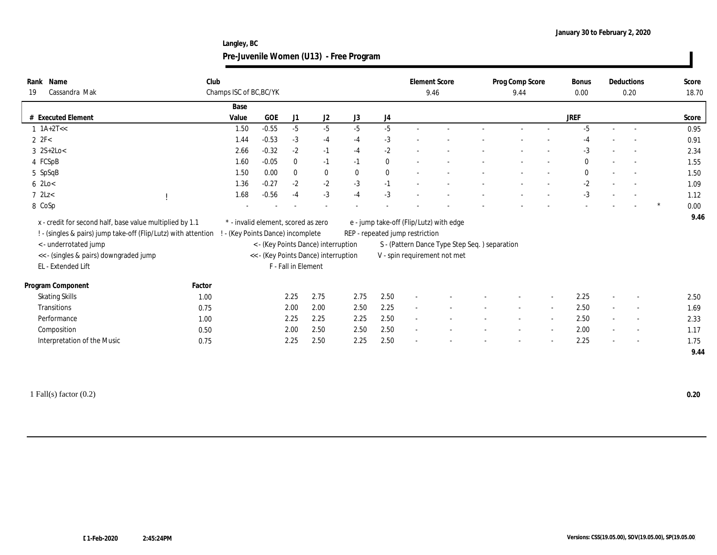**Langley, BC Pre-Juvenile Women (U13) - Free Program**

| Name<br>Rank<br>Cassandra Mak<br>19                                                                                                                                                                                                                   | Club   | Champs ISC of BC, BC/YK             |         |                     |                                                                             |              |          | <b>Element Score</b><br>9.46                                               |                                                                                | Prog Comp Score<br>9.44 | <b>Bonus</b><br>0.00 |        | Deductions<br>0.20       |   | Score<br>18.70 |
|-------------------------------------------------------------------------------------------------------------------------------------------------------------------------------------------------------------------------------------------------------|--------|-------------------------------------|---------|---------------------|-----------------------------------------------------------------------------|--------------|----------|----------------------------------------------------------------------------|--------------------------------------------------------------------------------|-------------------------|----------------------|--------|--------------------------|---|----------------|
|                                                                                                                                                                                                                                                       |        | Base                                |         |                     |                                                                             |              |          |                                                                            |                                                                                |                         |                      |        |                          |   |                |
| <b>Executed Element</b>                                                                                                                                                                                                                               |        | Value                               | GOE     | J1                  | J <sub>2</sub>                                                              | J3           | J4       |                                                                            |                                                                                |                         | JREF                 |        |                          |   | Score          |
| $1 \text{ 1A+2T} <<$                                                                                                                                                                                                                                  |        | 1.50                                | $-0.55$ | $-5$                | $-5$                                                                        | $-5$         | $-5$     |                                                                            |                                                                                |                         | $-5$                 |        |                          |   | 0.95           |
| $2 \text{ } 2\text{F} < 2\text{ }$                                                                                                                                                                                                                    |        | 1.44                                | $-0.53$ | $-3$                | $-4$                                                                        | $-4$         | $-3$     |                                                                            |                                                                                |                         | $-4$                 |        |                          |   | 0.91           |
| $3 \; 2S+2Lo <$                                                                                                                                                                                                                                       |        | 2.66                                | $-0.32$ | $-2$                | $-1$                                                                        | $-4$         | $-2$     |                                                                            |                                                                                |                         | $-3$                 | $\sim$ |                          |   | 2.34           |
| 4 FCSpB                                                                                                                                                                                                                                               |        | 1.60                                | $-0.05$ | $\mathbf{0}$        | $-1$                                                                        | $-1$         | $\bf{0}$ |                                                                            |                                                                                |                         | $\bf{0}$             | $\sim$ |                          |   | 1.55           |
| 5 SpSqB                                                                                                                                                                                                                                               |        | 1.50                                | 0.00    | $\bf{0}$            | $\bf{0}$                                                                    | $\mathbf{0}$ | $\bf{0}$ | $\overline{\phantom{a}}$                                                   |                                                                                |                         | $\bf{0}$             | $\sim$ |                          |   | 1.50           |
| $6$ 2Lo $<$                                                                                                                                                                                                                                           |        | 1.36                                | $-0.27$ | $-2$                | $-2$                                                                        | $-3$         | $-1$     |                                                                            |                                                                                |                         | $-2$                 |        |                          |   | 1.09           |
| $7$ 2Lz $<$                                                                                                                                                                                                                                           |        | 1.68                                | $-0.56$ | $-4$                | $-3$                                                                        | $-4$         | $-3$     |                                                                            |                                                                                |                         | $-3$                 |        |                          |   | 1.12           |
| 8 CoSp                                                                                                                                                                                                                                                |        |                                     |         |                     |                                                                             |              |          |                                                                            |                                                                                |                         |                      |        |                          | * | 0.00           |
| x - credit for second half, base value multiplied by 1.1<br>! - (singles & pairs) jump take-off (Flip/Lutz) with attention ! - (Key Points Dance) incomplete<br>< - underrotated jump<br><< - (singles & pairs) downgraded jump<br>EL - Extended Lift |        | * - invalid element, scored as zero |         | F - Fall in Element | < - (Key Points Dance) interruption<br><< - (Key Points Dance) interruption |              |          | e - jump take-off (Flip/Lutz) with edge<br>REP - repeated jump restriction | S - (Pattern Dance Type Step Seq. ) separation<br>V - spin requirement not met |                         |                      |        |                          |   | 9.46           |
| Program Component                                                                                                                                                                                                                                     | Factor |                                     |         |                     |                                                                             |              |          |                                                                            |                                                                                |                         |                      |        |                          |   |                |
| <b>Skating Skills</b>                                                                                                                                                                                                                                 | 1.00   |                                     |         | 2.25                | 2.75                                                                        | 2.75         | 2.50     |                                                                            |                                                                                |                         | 2.25                 |        |                          |   | 2.50           |
| Transitions                                                                                                                                                                                                                                           | 0.75   |                                     |         | 2.00                | 2.00                                                                        | 2.50         | 2.25     | $\sim$                                                                     |                                                                                |                         | 2.50                 | $\sim$ |                          |   | 1.69           |
| Performance                                                                                                                                                                                                                                           | 1.00   |                                     |         | 2.25                | 2.25                                                                        | 2.25         | 2.50     | $\sim$                                                                     |                                                                                |                         | 2.50                 | $\sim$ | $\overline{\phantom{a}}$ |   | 2.33           |
| Composition                                                                                                                                                                                                                                           | 0.50   |                                     |         | 2.00                | 2.50                                                                        | 2.50         | 2.50     | $\sim$                                                                     |                                                                                |                         | 2.00                 | $\sim$ | $\overline{\phantom{a}}$ |   | 1.17           |
| Interpretation of the Music                                                                                                                                                                                                                           | 0.75   |                                     |         | 2.25                | 2.50                                                                        | 2.25         | 2.50     |                                                                            |                                                                                |                         | 2.25                 |        |                          |   | 1.75<br>9.44   |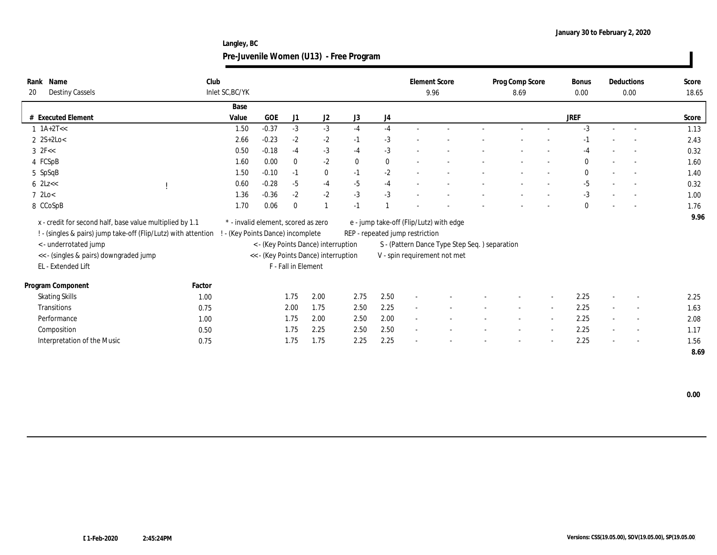**Langley, BC Pre-Juvenile Women (U13) - Free Program**

| Name<br>Rank<br><b>Destiny Cassels</b><br>20                                                                               | Club   | Inlet SC, BC/YK                                                          |         |                     |                                      |              |              |                                 | <b>Element Score</b><br>9.96                   | Prog Comp Score<br>8.69 |                          | <b>Bonus</b><br>0.00 |                          | Deductions<br>0.00       | Score<br>18.65 |
|----------------------------------------------------------------------------------------------------------------------------|--------|--------------------------------------------------------------------------|---------|---------------------|--------------------------------------|--------------|--------------|---------------------------------|------------------------------------------------|-------------------------|--------------------------|----------------------|--------------------------|--------------------------|----------------|
|                                                                                                                            |        | Base                                                                     |         |                     |                                      |              |              |                                 |                                                |                         |                          |                      |                          |                          |                |
| # Executed Element                                                                                                         |        | Value                                                                    | GOE     | J1                  | J2                                   | J3           | J4           |                                 |                                                |                         |                          | JREF                 |                          |                          | Score          |
| $1 \text{ 1A+2T} <<$                                                                                                       |        | 1.50                                                                     | $-0.37$ | $-3$                | $-3$                                 | $-4$         | $-4$         |                                 |                                                |                         |                          | $-3$                 |                          |                          | 1.13           |
| $2 \, 2S + 2Lo <$                                                                                                          |        | 2.66                                                                     | $-0.23$ | $-2$                | $-2$                                 | $-1$         | $-3$         |                                 |                                                |                         |                          | $-1$                 |                          |                          | 2.43           |
| $3$ $2$ F<<                                                                                                                |        | 0.50                                                                     | $-0.18$ | $-4$                | $-3$                                 | $-4$         | $-3$         |                                 |                                                |                         |                          | -4                   |                          | $\sim$                   | 0.32           |
| 4 FCSpB                                                                                                                    |        | 1.60                                                                     | 0.00    | $\mathbf{0}$        | $-2$                                 | $\mathbf{0}$ | $\mathbf{0}$ |                                 |                                                |                         |                          | $\bf{0}$             |                          |                          | 1.60           |
| 5 SpSqB                                                                                                                    |        | 1.50                                                                     | $-0.10$ | $-1$                | $\bf{0}$                             | $-1$         | $-2$         |                                 |                                                |                         |                          | $\bf{0}$             |                          |                          | 1.40           |
| $6$ 2Lz $<<$                                                                                                               |        | 0.60                                                                     | $-0.28$ | $-5$                | $-4$                                 | $-5$         | $-4$         |                                 |                                                |                         |                          | $-5$                 |                          |                          | 0.32           |
| $7 \text{ } 2 \text{Lo} <$                                                                                                 |        | 1.36                                                                     | $-0.36$ | $-2$                | $-2$                                 | $-3$         | $-3$         |                                 |                                                |                         | $\overline{\phantom{a}}$ | $-3$                 | $\sim$                   |                          | 1.00           |
| 8 CCoSpB                                                                                                                   |        | 1.70                                                                     | 0.06    | $\bf{0}$            |                                      | $-1$         |              |                                 |                                                |                         |                          | $\mathbf{0}$         |                          |                          | 1.76           |
| x - credit for second half, base value multiplied by 1.1<br>! - (singles & pairs) jump take-off (Flip/Lutz) with attention |        | * - invalid element, scored as zero<br>! - (Key Points Dance) incomplete |         |                     |                                      |              |              | REP - repeated jump restriction | e - jump take-off (Flip/Lutz) with edge        |                         |                          |                      |                          |                          | 9.96           |
| < - underrotated jump                                                                                                      |        |                                                                          |         |                     | < - (Key Points Dance) interruption  |              |              |                                 | S - (Pattern Dance Type Step Seq. ) separation |                         |                          |                      |                          |                          |                |
| << - (singles & pairs) downgraded jump                                                                                     |        |                                                                          |         |                     | << - (Key Points Dance) interruption |              |              |                                 | V - spin requirement not met                   |                         |                          |                      |                          |                          |                |
| EL - Extended Lift                                                                                                         |        |                                                                          |         | F - Fall in Element |                                      |              |              |                                 |                                                |                         |                          |                      |                          |                          |                |
| Program Component                                                                                                          | Factor |                                                                          |         |                     |                                      |              |              |                                 |                                                |                         |                          |                      |                          |                          |                |
| <b>Skating Skills</b>                                                                                                      | 1.00   |                                                                          |         | 1.75                | 2.00                                 | 2.75         | 2.50         | $\sim$                          |                                                |                         |                          | 2.25                 | $\overline{\phantom{a}}$ | $\sim$                   | 2.25           |
| Transitions                                                                                                                | 0.75   |                                                                          |         | 2.00                | 1.75                                 | 2.50         | 2.25         | $\sim$                          |                                                |                         |                          | 2.25                 | $\sim$                   | $\overline{\phantom{a}}$ | 1.63           |
| Performance                                                                                                                | 1.00   |                                                                          |         | 1.75                | 2.00                                 | 2.50         | 2.00         | $\sim$                          |                                                |                         |                          | 2.25                 | $\sim$                   | $\overline{\phantom{a}}$ | 2.08           |
| Composition                                                                                                                | 0.50   |                                                                          |         | 1.75                | 2.25                                 | 2.50         | 2.50         | $\sim$                          |                                                |                         |                          | 2.25                 | $\sim$                   | $\overline{\phantom{a}}$ | 1.17           |
| Interpretation of the Music                                                                                                | 0.75   |                                                                          |         | 1.75                | 1.75                                 | 2.25         | 2.25         |                                 |                                                |                         |                          | 2.25                 |                          | $\sim$                   | 1.56           |
|                                                                                                                            |        |                                                                          |         |                     |                                      |              |              |                                 |                                                |                         |                          |                      |                          |                          | 8.69           |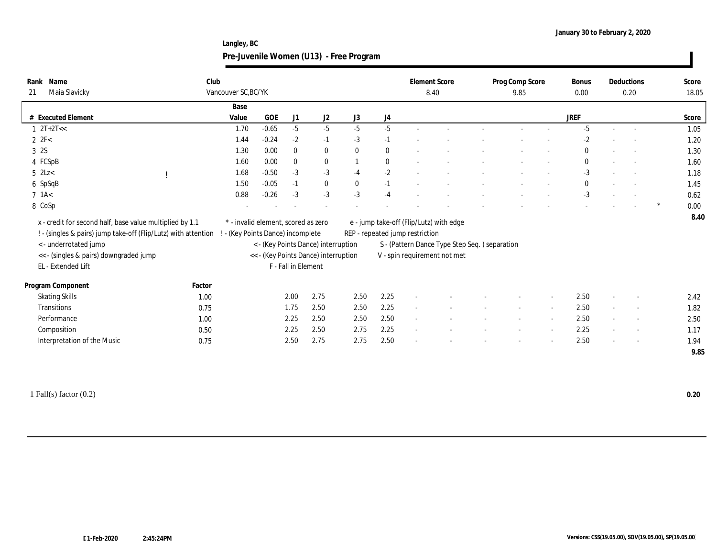**Langley, BC Pre-Juvenile Women (U13) - Free Program**

| Rank Name<br>Maia Slavicky<br>21                                                                                                                                                                                   | Club   | Vancouver SC, BC/YK                                                    |         |                     |                                                                             |              |          | <b>Element Score</b><br>8.40    |                                                                                                                          | Prog Comp Score<br>9.85  |                          | <b>Bonus</b><br>0.00 |                          | Deductions<br>0.20       |   | Score<br>18.05 |
|--------------------------------------------------------------------------------------------------------------------------------------------------------------------------------------------------------------------|--------|------------------------------------------------------------------------|---------|---------------------|-----------------------------------------------------------------------------|--------------|----------|---------------------------------|--------------------------------------------------------------------------------------------------------------------------|--------------------------|--------------------------|----------------------|--------------------------|--------------------------|---|----------------|
|                                                                                                                                                                                                                    |        | Base                                                                   |         |                     |                                                                             |              |          |                                 |                                                                                                                          |                          |                          |                      |                          |                          |   |                |
| # Executed Element                                                                                                                                                                                                 |        | Value                                                                  | GOE     | J1                  | J2                                                                          | J3           | J4       |                                 |                                                                                                                          |                          |                          | JREF                 |                          |                          |   | Score          |
| $1 \t2T+2T<<$                                                                                                                                                                                                      |        | 1.70                                                                   | $-0.65$ | $-5$                | $-5$                                                                        | $-5$         | $-5$     |                                 |                                                                                                                          |                          |                          | $-5$                 |                          |                          |   | 1.05           |
| $2 \text{ } 2\text{F} < 2\text{ }$                                                                                                                                                                                 |        | 1.44                                                                   | $-0.24$ | $-2$                | $-1$                                                                        | $-3$         | $-1$     |                                 |                                                                                                                          |                          |                          | $-2$                 |                          |                          |   | 1.20           |
| 3 2S                                                                                                                                                                                                               |        | 1.30                                                                   | 0.00    | $\mathbf{0}$        | $\bf{0}$                                                                    | $\mathbf{0}$ | $\bf{0}$ |                                 |                                                                                                                          |                          |                          | $\mathbf{0}$         | $\overline{\phantom{a}}$ |                          |   | 1.30           |
| 4 FCSpB                                                                                                                                                                                                            |        | 1.60                                                                   | 0.00    | $\mathbf{0}$        | $\bf{0}$                                                                    |              | $\bf{0}$ |                                 |                                                                                                                          |                          |                          | $\mathbf{0}$         |                          |                          |   | 1.60           |
| $5$ 2Lz $<$                                                                                                                                                                                                        |        | 1.68                                                                   | $-0.50$ | $-3$                | $-3$                                                                        | $-4$         | $-2$     |                                 |                                                                                                                          |                          | $\overline{\phantom{a}}$ | $-3$                 | $\sim$                   | $\sim$                   |   | 1.18           |
| 6 SpSqB                                                                                                                                                                                                            |        | 1.50                                                                   | $-0.05$ | $-1$                | $\bf{0}$                                                                    | $\bf{0}$     | $-1$     |                                 |                                                                                                                          |                          |                          | $\mathbf{0}$         |                          |                          |   | 1.45           |
| $7$ 1A $<$                                                                                                                                                                                                         |        | 0.88                                                                   | $-0.26$ | $-3$                | $-3$                                                                        | $-3$         | $-4$     |                                 |                                                                                                                          |                          |                          | $-3$                 |                          |                          |   | 0.62           |
| 8 CoSp                                                                                                                                                                                                             |        |                                                                        |         |                     |                                                                             |              |          |                                 |                                                                                                                          |                          |                          |                      |                          |                          | * | 0.00           |
| x - credit for second half, base value multiplied by 1.1<br>! - (singles & pairs) jump take-off (Flip/Lutz) with attention<br><- underrotated jump<br><< - (singles & pairs) downgraded jump<br>EL - Extended Lift |        | * - invalid element, scored as zero<br>- (Key Points Dance) incomplete |         | F - Fall in Element | < - (Key Points Dance) interruption<br><< - (Key Points Dance) interruption |              |          | REP - repeated jump restriction | e - jump take-off (Flip/Lutz) with edge<br>S - (Pattern Dance Type Step Seq.) separation<br>V - spin requirement not met |                          |                          |                      |                          |                          |   | 8.40           |
| Program Component                                                                                                                                                                                                  | Factor |                                                                        |         |                     |                                                                             |              |          |                                 |                                                                                                                          |                          |                          |                      |                          |                          |   |                |
| <b>Skating Skills</b>                                                                                                                                                                                              | 1.00   |                                                                        |         | 2.00                | 2.75                                                                        | 2.50         | 2.25     | $\sim$                          |                                                                                                                          |                          |                          | 2.50                 | $\sim$                   |                          |   | 2.42           |
| <b>Transitions</b>                                                                                                                                                                                                 | 0.75   |                                                                        |         | 1.75                | 2.50                                                                        | 2.50         | 2.25     | $\sim$                          |                                                                                                                          |                          |                          | 2.50                 | $\sim$                   |                          |   | 1.82           |
| Performance                                                                                                                                                                                                        | 1.00   |                                                                        |         | 2.25                | 2.50                                                                        | 2.50         | 2.50     | $\sim$                          |                                                                                                                          | $\overline{\phantom{a}}$ | $\sim$                   | 2.50                 | $\sim$                   | $\sim$                   |   | 2.50           |
| Composition                                                                                                                                                                                                        | 0.50   |                                                                        |         | 2.25                | 2.50                                                                        | 2.75         | 2.25     | $\sim$                          |                                                                                                                          |                          | $\sim$                   | 2.25                 | $\sim$                   | $\overline{\phantom{a}}$ |   | 1.17           |
| Interpretation of the Music                                                                                                                                                                                        | 0.75   |                                                                        |         | 2.50                | 2.75                                                                        | 2.75         | 2.50     |                                 |                                                                                                                          |                          |                          | 2.50                 | $\sim$                   | $\sim$                   |   | 1.94           |
|                                                                                                                                                                                                                    |        |                                                                        |         |                     |                                                                             |              |          |                                 |                                                                                                                          |                          |                          |                      |                          |                          |   | 9.85           |